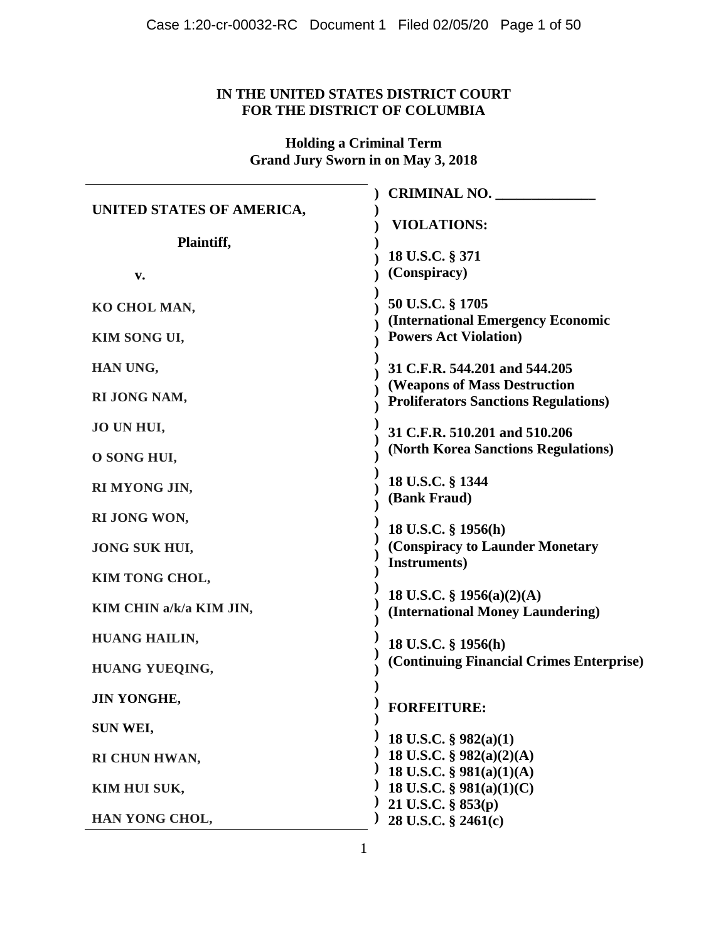# **IN THE UNITED STATES DISTRICT COURT FOR THE DISTRICT OF COLUMBIA**

**Holding a Criminal Term Grand Jury Sworn in on May 3, 2018**

|                           | <b>CRIMINAL NO.</b>                                           |
|---------------------------|---------------------------------------------------------------|
| UNITED STATES OF AMERICA, | <b>VIOLATIONS:</b>                                            |
| Plaintiff,                |                                                               |
|                           | 18 U.S.C. § 371                                               |
| v.                        | (Conspiracy)                                                  |
| KO CHOL MAN,              | 50 U.S.C. § 1705                                              |
|                           | (International Emergency Economic                             |
| KIM SONG UI,              | <b>Powers Act Violation)</b>                                  |
| HAN UNG,                  | 31 C.F.R. 544.201 and 544.205                                 |
| RI JONG NAM,              | <b>(Weapons of Mass Destruction</b>                           |
|                           | <b>Proliferators Sanctions Regulations)</b>                   |
| JO UN HUI,                | 31 C.F.R. 510.201 and 510.206                                 |
| O SONG HUI,               | (North Korea Sanctions Regulations)                           |
|                           | 18 U.S.C. § 1344                                              |
| RI MYONG JIN,             | (Bank Fraud)                                                  |
| RI JONG WON,              | 18 U.S.C. § 1956(h)                                           |
| <b>JONG SUK HUI,</b>      | (Conspiracy to Launder Monetary                               |
|                           | Instruments)                                                  |
| KIM TONG CHOL,            |                                                               |
| KIM CHIN a/k/a KIM JIN,   | 18 U.S.C. § 1956(a)(2)(A)<br>(International Money Laundering) |
|                           |                                                               |
| HUANG HAILIN,             | 18 U.S.C. § 1956(h)                                           |
| HUANG YUEQING,            | (Continuing Financial Crimes Enterprise)                      |
| <b>JIN YONGHE,</b>        |                                                               |
|                           | <b>FORFEITURE:</b>                                            |
| SUN WEI,                  | 18 U.S.C. $\S$ 982(a)(1)                                      |
| RI CHUN HWAN,             | 18 U.S.C. § 982(a)(2)(A)                                      |
|                           | 18 U.S.C. § 981(a)(1)(A)                                      |
| KIM HUI SUK,              | 18 U.S.C. § 981(a)(1)(C)<br>21 U.S.C. § 853(p)                |
| HAN YONG CHOL,            | 28 U.S.C. § 2461(c)                                           |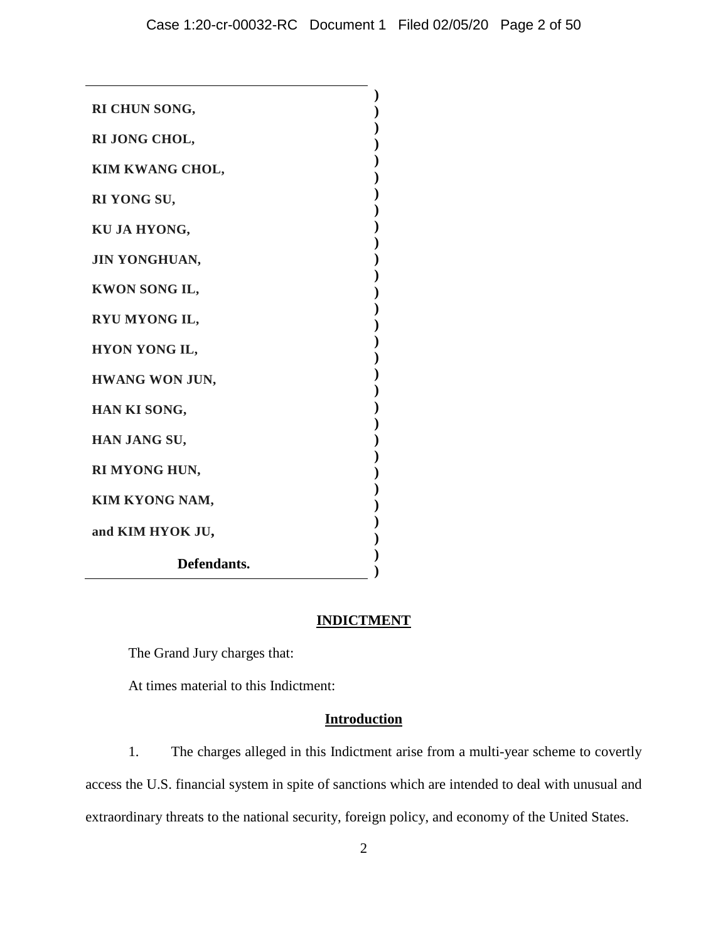| and KIM HYOK JU,<br>Defendants. |  |
|---------------------------------|--|
|                                 |  |
| KIM KYONG NAM,                  |  |
| RI MYONG HUN,                   |  |
| HAN JANG SU,                    |  |
| HAN KI SONG,                    |  |
| HWANG WON JUN,                  |  |
| HYON YONG IL,                   |  |
|                                 |  |
| RYU MYONG IL,                   |  |
| KWON SONG IL,                   |  |
| <b>JIN YONGHUAN,</b>            |  |
| KU JA HYONG,                    |  |
| RI YONG SU,                     |  |
| KIM KWANG CHOL,                 |  |
| RI JONG CHOL,                   |  |
|                                 |  |
| RI CHUN SONG,                   |  |

## **INDICTMENT**

The Grand Jury charges that:

At times material to this Indictment:

# **Introduction**

1. The charges alleged in this Indictment arise from a multi-year scheme to covertly access the U.S. financial system in spite of sanctions which are intended to deal with unusual and extraordinary threats to the national security, foreign policy, and economy of the United States.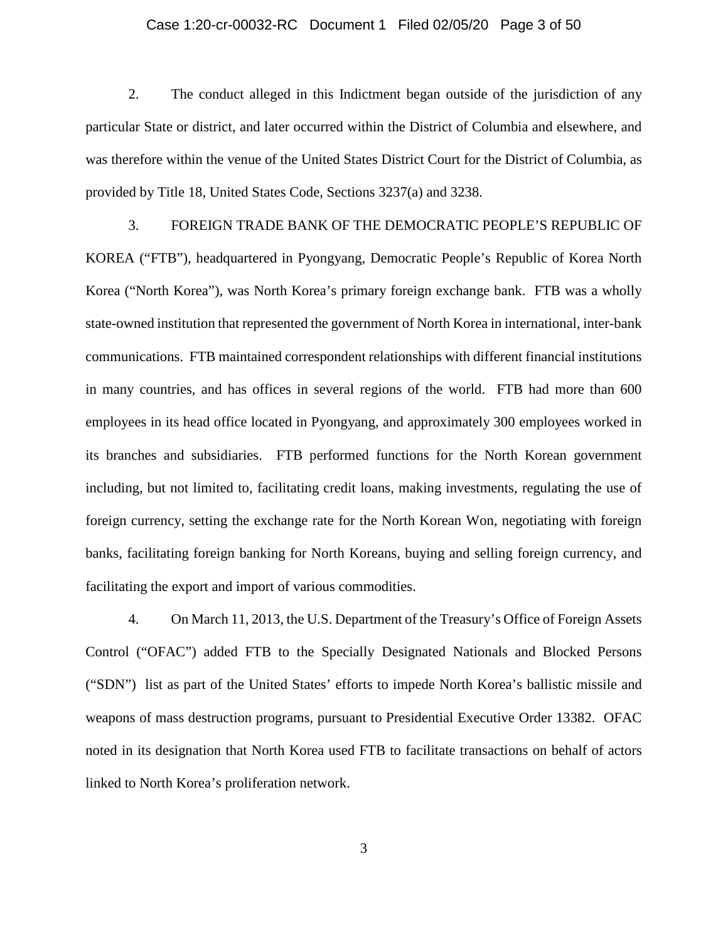### Case 1:20-cr-00032-RC Document 1 Filed 02/05/20 Page 3 of 50

2. The conduct alleged in this Indictment began outside of the jurisdiction of any particular State or district, and later occurred within the District of Columbia and elsewhere, and was therefore within the venue of the United States District Court for the District of Columbia, as provided by Title 18, United States Code, Sections 3237(a) and 3238.

3. FOREIGN TRADE BANK OF THE DEMOCRATIC PEOPLE'S REPUBLIC OF KOREA ("FTB"), headquartered in Pyongyang, Democratic People's Republic of Korea North Korea ("North Korea"), was North Korea's primary foreign exchange bank. FTB was a wholly state-owned institution that represented the government of North Korea in international, inter-bank communications. FTB maintained correspondent relationships with different financial institutions in many countries, and has offices in several regions of the world. FTB had more than 600 employees in its head office located in Pyongyang, and approximately 300 employees worked in its branches and subsidiaries. FTB performed functions for the North Korean government including, but not limited to, facilitating credit loans, making investments, regulating the use of foreign currency, setting the exchange rate for the North Korean Won, negotiating with foreign banks, facilitating foreign banking for North Koreans, buying and selling foreign currency, and facilitating the export and import of various commodities.

4. On March 11, 2013, the U.S. Department of the Treasury's Office of Foreign Assets Control ("OFAC") added FTB to the Specially Designated Nationals and Blocked Persons ("SDN") list as part of the United States' efforts to impede North Korea's ballistic missile and weapons of mass destruction programs, pursuant to Presidential Executive Order 13382. OFAC noted in its designation that North Korea used FTB to facilitate transactions on behalf of actors linked to North Korea's proliferation network.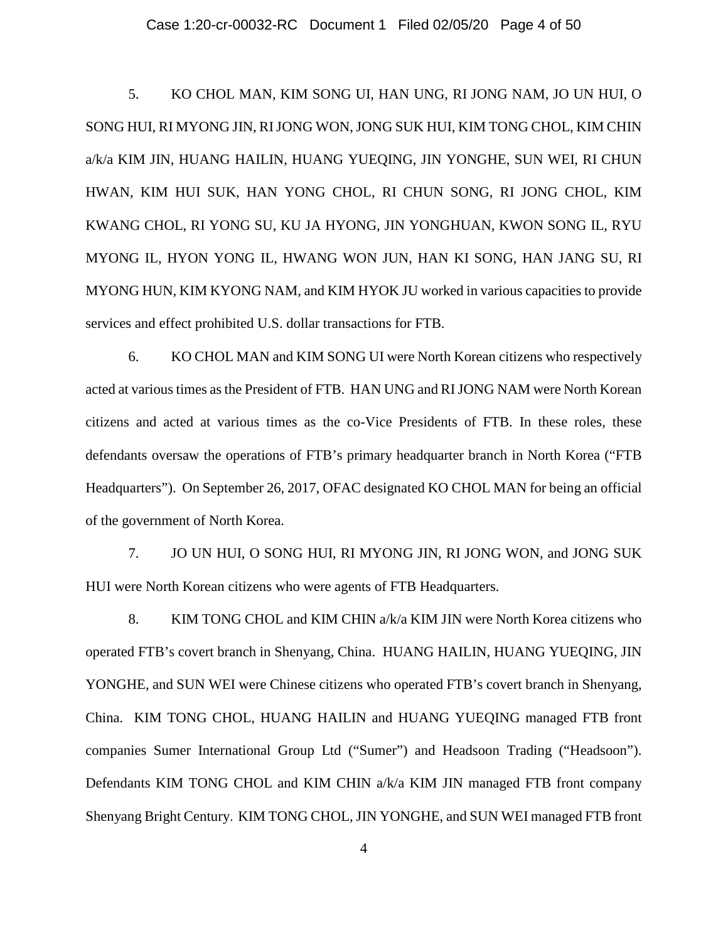### Case 1:20-cr-00032-RC Document 1 Filed 02/05/20 Page 4 of 50

5. KO CHOL MAN, KIM SONG UI, HAN UNG, RI JONG NAM, JO UN HUI, O SONG HUI, RI MYONG JIN, RI JONG WON, JONG SUK HUI, KIM TONG CHOL, KIM CHIN a/k/a KIM JIN, HUANG HAILIN, HUANG YUEQING, JIN YONGHE, SUN WEI, RI CHUN HWAN, KIM HUI SUK, HAN YONG CHOL, RI CHUN SONG, RI JONG CHOL, KIM KWANG CHOL, RI YONG SU, KU JA HYONG, JIN YONGHUAN, KWON SONG IL, RYU MYONG IL, HYON YONG IL, HWANG WON JUN, HAN KI SONG, HAN JANG SU, RI MYONG HUN, KIM KYONG NAM, and KIM HYOK JU worked in various capacities to provide services and effect prohibited U.S. dollar transactions for FTB.

6. KO CHOL MAN and KIM SONG UI were North Korean citizens who respectively acted at various times as the President of FTB. HAN UNG and RI JONG NAM were North Korean citizens and acted at various times as the co-Vice Presidents of FTB. In these roles, these defendants oversaw the operations of FTB's primary headquarter branch in North Korea ("FTB Headquarters"). On September 26, 2017, OFAC designated KO CHOL MAN for being an official of the government of North Korea.

7. JO UN HUI, O SONG HUI, RI MYONG JIN, RI JONG WON, and JONG SUK HUI were North Korean citizens who were agents of FTB Headquarters.

8. KIM TONG CHOL and KIM CHIN a/k/a KIM JIN were North Korea citizens who operated FTB's covert branch in Shenyang, China. HUANG HAILIN, HUANG YUEQING, JIN YONGHE, and SUN WEI were Chinese citizens who operated FTB's covert branch in Shenyang, China. KIM TONG CHOL, HUANG HAILIN and HUANG YUEQING managed FTB front companies Sumer International Group Ltd ("Sumer") and Headsoon Trading ("Headsoon"). Defendants KIM TONG CHOL and KIM CHIN a/k/a KIM JIN managed FTB front company Shenyang Bright Century. KIM TONG CHOL, JIN YONGHE, and SUN WEI managed FTB front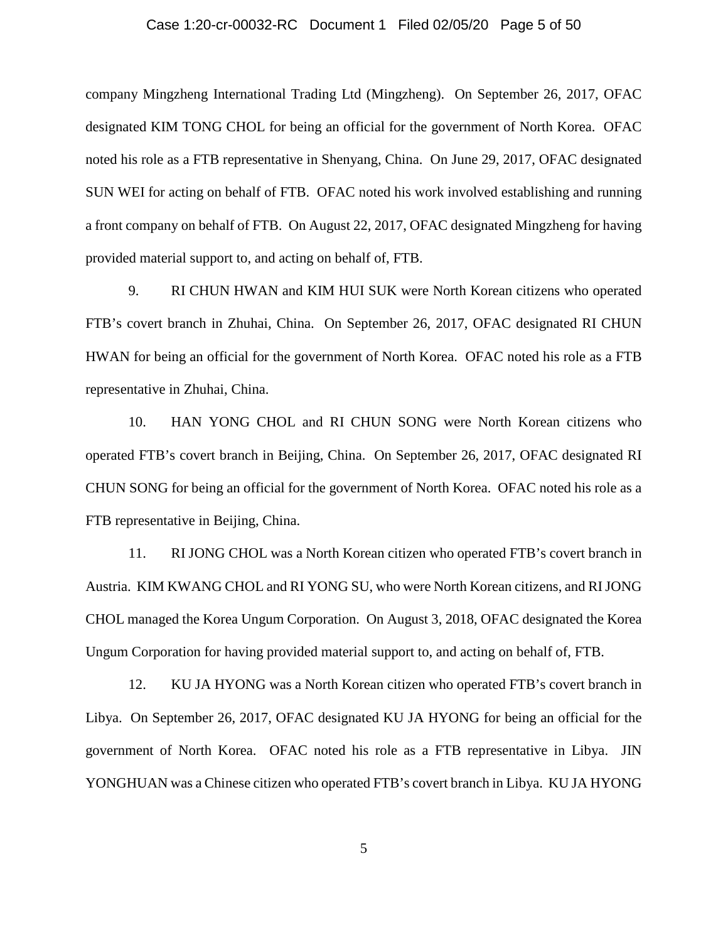### Case 1:20-cr-00032-RC Document 1 Filed 02/05/20 Page 5 of 50

company Mingzheng International Trading Ltd (Mingzheng). On September 26, 2017, OFAC designated KIM TONG CHOL for being an official for the government of North Korea. OFAC noted his role as a FTB representative in Shenyang, China. On June 29, 2017, OFAC designated SUN WEI for acting on behalf of FTB. OFAC noted his work involved establishing and running a front company on behalf of FTB. On August 22, 2017, OFAC designated Mingzheng for having provided material support to, and acting on behalf of, FTB.

9. RI CHUN HWAN and KIM HUI SUK were North Korean citizens who operated FTB's covert branch in Zhuhai, China. On September 26, 2017, OFAC designated RI CHUN HWAN for being an official for the government of North Korea. OFAC noted his role as a FTB representative in Zhuhai, China.

10. HAN YONG CHOL and RI CHUN SONG were North Korean citizens who operated FTB's covert branch in Beijing, China. On September 26, 2017, OFAC designated RI CHUN SONG for being an official for the government of North Korea. OFAC noted his role as a FTB representative in Beijing, China.

11. RI JONG CHOL was a North Korean citizen who operated FTB's covert branch in Austria. KIM KWANG CHOL and RI YONG SU, who were North Korean citizens, and RI JONG CHOL managed the Korea Ungum Corporation. On August 3, 2018, OFAC designated the Korea Ungum Corporation for having provided material support to, and acting on behalf of, FTB.

12. KU JA HYONG was a North Korean citizen who operated FTB's covert branch in Libya. On September 26, 2017, OFAC designated KU JA HYONG for being an official for the government of North Korea. OFAC noted his role as a FTB representative in Libya. JIN YONGHUAN was a Chinese citizen who operated FTB's covert branch in Libya. KU JA HYONG

5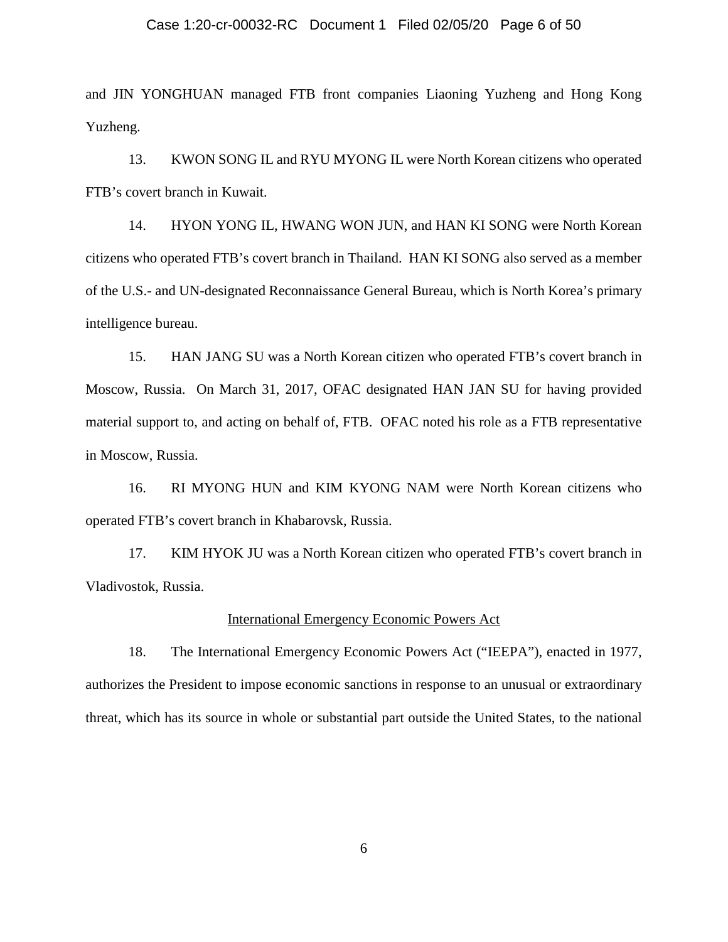### Case 1:20-cr-00032-RC Document 1 Filed 02/05/20 Page 6 of 50

and JIN YONGHUAN managed FTB front companies Liaoning Yuzheng and Hong Kong Yuzheng.

13. KWON SONG IL and RYU MYONG IL were North Korean citizens who operated FTB's covert branch in Kuwait.

14. HYON YONG IL, HWANG WON JUN, and HAN KI SONG were North Korean citizens who operated FTB's covert branch in Thailand. HAN KI SONG also served as a member of the U.S.- and UN-designated Reconnaissance General Bureau, which is North Korea's primary intelligence bureau.

15. HAN JANG SU was a North Korean citizen who operated FTB's covert branch in Moscow, Russia. On March 31, 2017, OFAC designated HAN JAN SU for having provided material support to, and acting on behalf of, FTB. OFAC noted his role as a FTB representative in Moscow, Russia.

16. RI MYONG HUN and KIM KYONG NAM were North Korean citizens who operated FTB's covert branch in Khabarovsk, Russia.

17. KIM HYOK JU was a North Korean citizen who operated FTB's covert branch in Vladivostok, Russia.

## International Emergency Economic Powers Act

18. The International Emergency Economic Powers Act ("IEEPA"), enacted in 1977, authorizes the President to impose economic sanctions in response to an unusual or extraordinary threat, which has its source in whole or substantial part outside the United States, to the national

6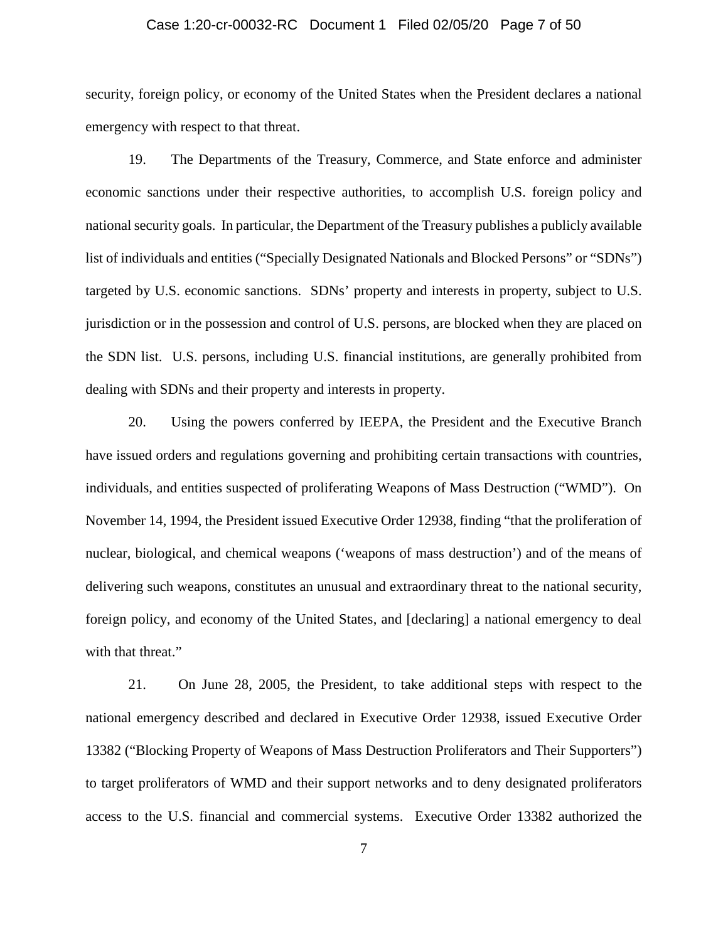### Case 1:20-cr-00032-RC Document 1 Filed 02/05/20 Page 7 of 50

security, foreign policy, or economy of the United States when the President declares a national emergency with respect to that threat.

19. The Departments of the Treasury, Commerce, and State enforce and administer economic sanctions under their respective authorities, to accomplish U.S. foreign policy and national security goals. In particular, the Department of the Treasury publishes a publicly available list of individuals and entities ("Specially Designated Nationals and Blocked Persons" or "SDNs") targeted by U.S. economic sanctions. SDNs' property and interests in property, subject to U.S. jurisdiction or in the possession and control of U.S. persons, are blocked when they are placed on the SDN list. U.S. persons, including U.S. financial institutions, are generally prohibited from dealing with SDNs and their property and interests in property.

20. Using the powers conferred by IEEPA, the President and the Executive Branch have issued orders and regulations governing and prohibiting certain transactions with countries, individuals, and entities suspected of proliferating Weapons of Mass Destruction ("WMD"). On November 14, 1994, the President issued Executive Order 12938, finding "that the proliferation of nuclear, biological, and chemical weapons ('weapons of mass destruction') and of the means of delivering such weapons, constitutes an unusual and extraordinary threat to the national security, foreign policy, and economy of the United States, and [declaring] a national emergency to deal with that threat."

21. On June 28, 2005, the President, to take additional steps with respect to the national emergency described and declared in Executive Order 12938, issued Executive Order 13382 ("Blocking Property of Weapons of Mass Destruction Proliferators and Their Supporters") to target proliferators of WMD and their support networks and to deny designated proliferators access to the U.S. financial and commercial systems. Executive Order 13382 authorized the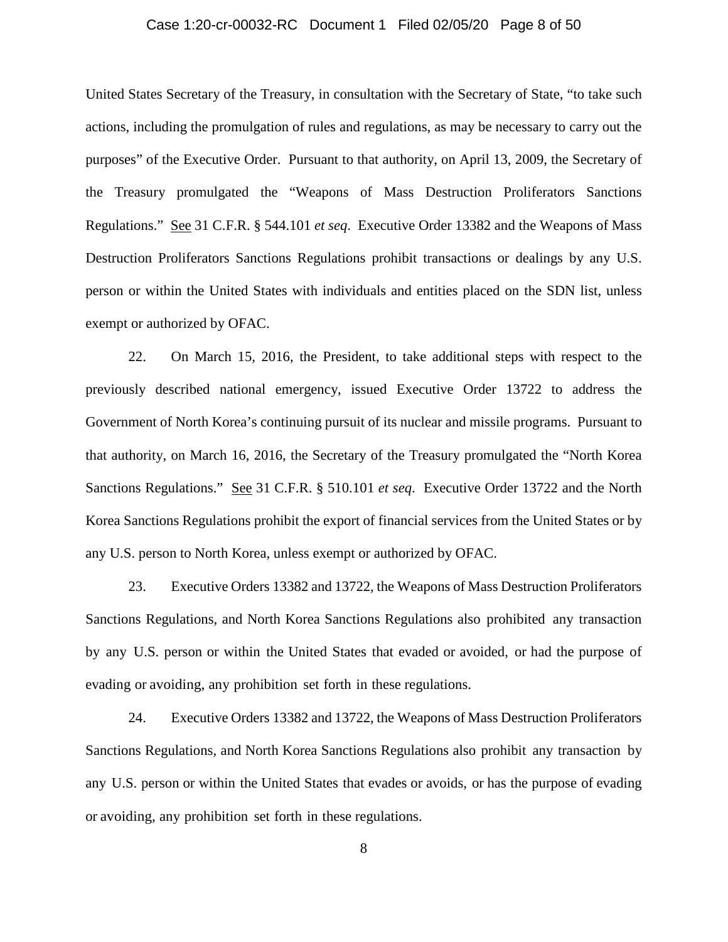### Case 1:20-cr-00032-RC Document 1 Filed 02/05/20 Page 8 of 50

United States Secretary of the Treasury, in consultation with the Secretary of State, "to take such actions, including the promulgation of rules and regulations, as may be necessary to carry out the purposes" of the Executive Order. Pursuant to that authority, on April 13, 2009, the Secretary of the Treasury promulgated the "Weapons of Mass Destruction Proliferators Sanctions Regulations." See 31 C.F.R. § 544.101 *et seq*. Executive Order 13382 and the Weapons of Mass Destruction Proliferators Sanctions Regulations prohibit transactions or dealings by any U.S. person or within the United States with individuals and entities placed on the SDN list, unless exempt or authorized by OFAC.

22. On March 15, 2016, the President, to take additional steps with respect to the previously described national emergency, issued Executive Order 13722 to address the Government of North Korea's continuing pursuit of its nuclear and missile programs. Pursuant to that authority, on March 16, 2016, the Secretary of the Treasury promulgated the "North Korea Sanctions Regulations." See 31 C.F.R. § 510.101 *et seq*. Executive Order 13722 and the North Korea Sanctions Regulations prohibit the export of financial services from the United States or by any U.S. person to North Korea, unless exempt or authorized by OFAC.

23. Executive Orders 13382 and 13722, the Weapons of Mass Destruction Proliferators Sanctions Regulations, and North Korea Sanctions Regulations also prohibited any transaction by any U.S. person or within the United States that evaded or avoided, or had the purpose of evading or avoiding, any prohibition set forth in these regulations.

24. Executive Orders 13382 and 13722, the Weapons of Mass Destruction Proliferators Sanctions Regulations, and North Korea Sanctions Regulations also prohibit any transaction by any U.S. person or within the United States that evades or avoids, or has the purpose of evading or avoiding, any prohibition set forth in these regulations.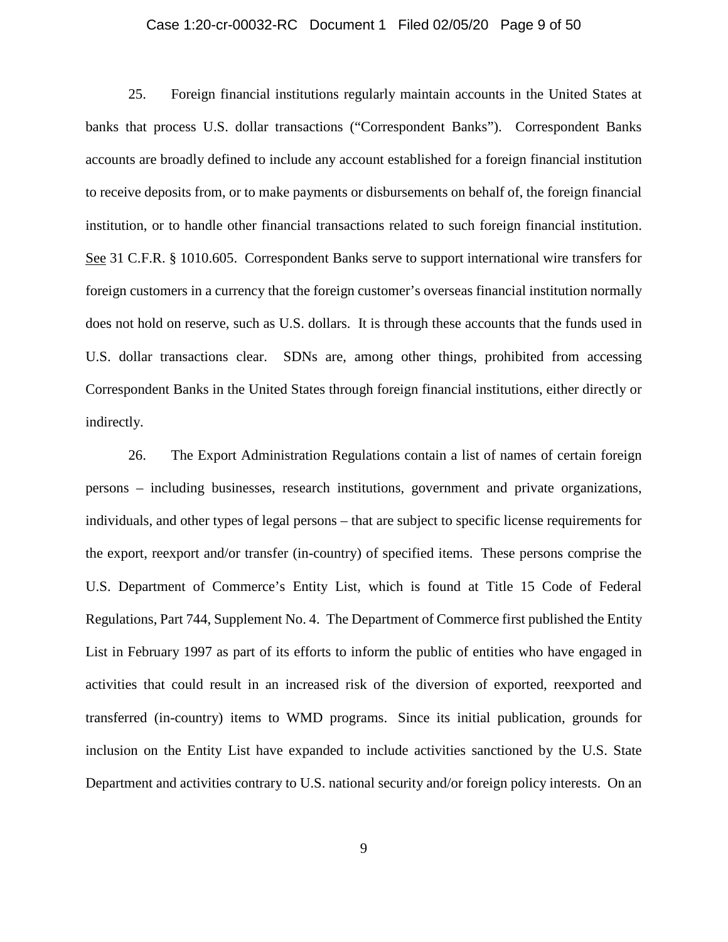### Case 1:20-cr-00032-RC Document 1 Filed 02/05/20 Page 9 of 50

25. Foreign financial institutions regularly maintain accounts in the United States at banks that process U.S. dollar transactions ("Correspondent Banks"). Correspondent Banks accounts are broadly defined to include any account established for a foreign financial institution to receive deposits from, or to make payments or disbursements on behalf of, the foreign financial institution, or to handle other financial transactions related to such foreign financial institution. See 31 C.F.R. § 1010.605. Correspondent Banks serve to support international wire transfers for foreign customers in a currency that the foreign customer's overseas financial institution normally does not hold on reserve, such as U.S. dollars. It is through these accounts that the funds used in U.S. dollar transactions clear. SDNs are, among other things, prohibited from accessing Correspondent Banks in the United States through foreign financial institutions, either directly or indirectly.

26. The Export Administration Regulations contain a list of names of certain foreign persons – including businesses, research institutions, government and private organizations, individuals, and other types of legal persons – that are subject to specific license requirements for the export, reexport and/or transfer (in-country) of specified items. These persons comprise the U.S. Department of Commerce's Entity List, which is found at Title 15 Code of Federal Regulations, Part 744, Supplement No. 4. The Department of Commerce first published the Entity List in February 1997 as part of its efforts to inform the public of entities who have engaged in activities that could result in an increased risk of the diversion of exported, reexported and transferred (in-country) items to WMD programs. Since its initial publication, grounds for inclusion on the Entity List have expanded to include activities sanctioned by the U.S. State Department and activities contrary to U.S. national security and/or foreign policy interests. On an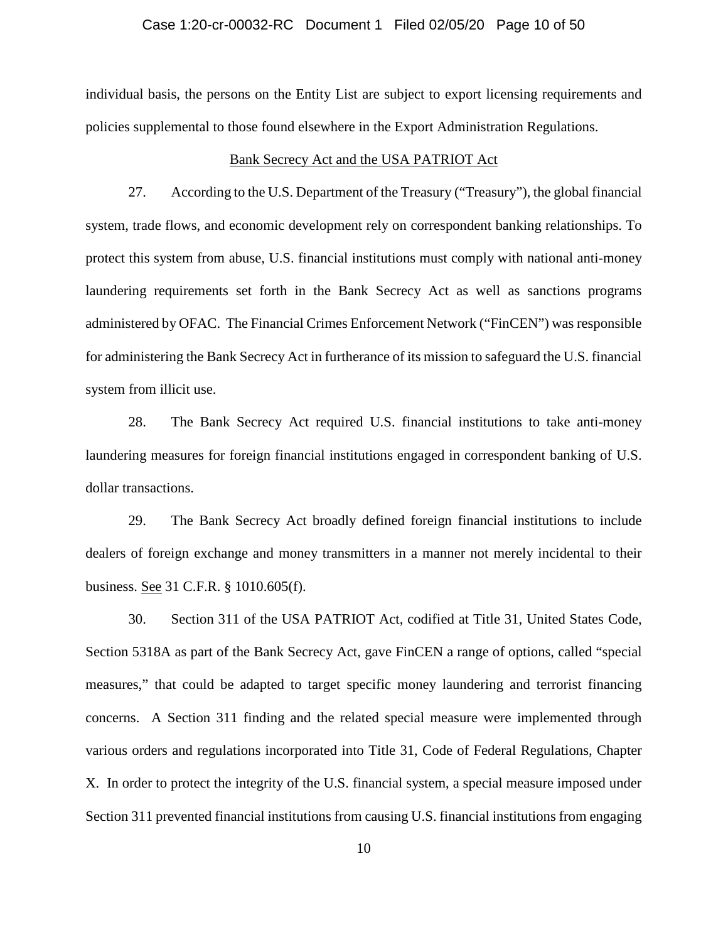### Case 1:20-cr-00032-RC Document 1 Filed 02/05/20 Page 10 of 50

individual basis, the persons on the Entity List are subject to export licensing requirements and policies supplemental to those found elsewhere in the Export Administration Regulations.

#### Bank Secrecy Act and the USA PATRIOT Act

27. According to the U.S. Department of the Treasury ("Treasury"), the global financial system, trade flows, and economic development rely on correspondent banking relationships. To protect this system from abuse, U.S. financial institutions must comply with national anti-money laundering requirements set forth in the Bank Secrecy Act as well as sanctions programs administered by OFAC. The Financial Crimes Enforcement Network ("FinCEN") was responsible for administering the Bank Secrecy Act in furtherance of its mission to safeguard the U.S. financial system from illicit use.

28. The Bank Secrecy Act required U.S. financial institutions to take anti-money laundering measures for foreign financial institutions engaged in correspondent banking of U.S. dollar transactions.

29. The Bank Secrecy Act broadly defined foreign financial institutions to include dealers of foreign exchange and money transmitters in a manner not merely incidental to their business. See 31 C.F.R. § 1010.605(f).

30. Section 311 of the USA PATRIOT Act, codified at Title 31, United States Code, Section 5318A as part of the Bank Secrecy Act, gave FinCEN a range of options, called "special measures," that could be adapted to target specific money laundering and terrorist financing concerns. A Section 311 finding and the related special measure were implemented through various orders and regulations incorporated into Title 31, Code of Federal Regulations, Chapter X. In order to protect the integrity of the U.S. financial system, a special measure imposed under Section 311 prevented financial institutions from causing U.S. financial institutions from engaging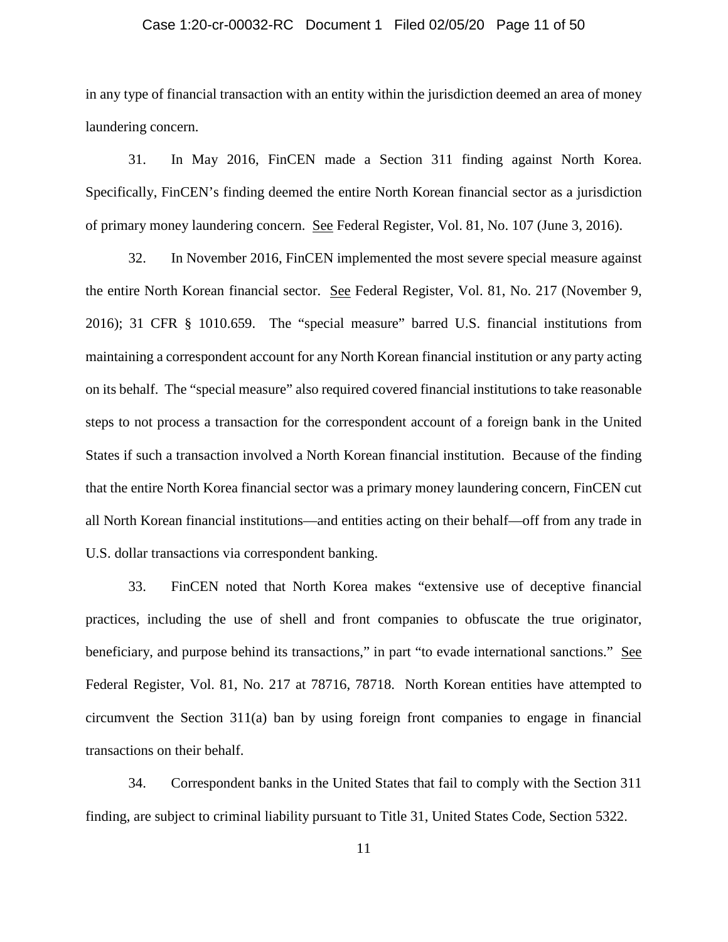### Case 1:20-cr-00032-RC Document 1 Filed 02/05/20 Page 11 of 50

in any type of financial transaction with an entity within the jurisdiction deemed an area of money laundering concern.

31. In May 2016, FinCEN made a Section 311 finding against North Korea. Specifically, FinCEN's finding deemed the entire North Korean financial sector as a jurisdiction of primary money laundering concern. See Federal Register, Vol. 81, No. 107 (June 3, 2016).

32. In November 2016, FinCEN implemented the most severe special measure against the entire North Korean financial sector. See Federal Register, Vol. 81, No. 217 (November 9, 2016); 31 CFR § 1010.659. The "special measure" barred U.S. financial institutions from maintaining a correspondent account for any North Korean financial institution or any party acting on its behalf. The "special measure" also required covered financial institutions to take reasonable steps to not process a transaction for the correspondent account of a foreign bank in the United States if such a transaction involved a North Korean financial institution. Because of the finding that the entire North Korea financial sector was a primary money laundering concern, FinCEN cut all North Korean financial institutions—and entities acting on their behalf—off from any trade in U.S. dollar transactions via correspondent banking.

33. FinCEN noted that North Korea makes "extensive use of deceptive financial practices, including the use of shell and front companies to obfuscate the true originator, beneficiary, and purpose behind its transactions," in part "to evade international sanctions." See Federal Register, Vol. 81, No. 217 at 78716, 78718. North Korean entities have attempted to circumvent the Section 311(a) ban by using foreign front companies to engage in financial transactions on their behalf.

34. Correspondent banks in the United States that fail to comply with the Section 311 finding, are subject to criminal liability pursuant to Title 31, United States Code, Section 5322.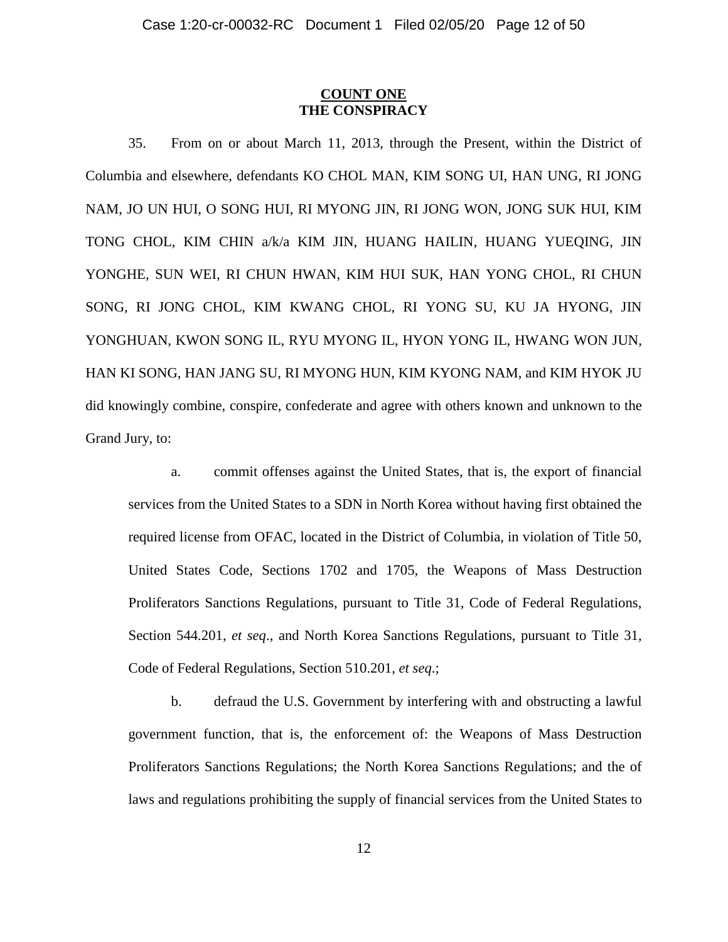## **COUNT ONE THE CONSPIRACY**

35. From on or about March 11, 2013, through the Present, within the District of Columbia and elsewhere, defendants KO CHOL MAN, KIM SONG UI, HAN UNG, RI JONG NAM, JO UN HUI, O SONG HUI, RI MYONG JIN, RI JONG WON, JONG SUK HUI, KIM TONG CHOL, KIM CHIN a/k/a KIM JIN, HUANG HAILIN, HUANG YUEQING, JIN YONGHE, SUN WEI, RI CHUN HWAN, KIM HUI SUK, HAN YONG CHOL, RI CHUN SONG, RI JONG CHOL, KIM KWANG CHOL, RI YONG SU, KU JA HYONG, JIN YONGHUAN, KWON SONG IL, RYU MYONG IL, HYON YONG IL, HWANG WON JUN, HAN KI SONG, HAN JANG SU, RI MYONG HUN, KIM KYONG NAM, and KIM HYOK JU did knowingly combine, conspire, confederate and agree with others known and unknown to the Grand Jury, to:

a. commit offenses against the United States, that is, the export of financial services from the United States to a SDN in North Korea without having first obtained the required license from OFAC, located in the District of Columbia, in violation of Title 50, United States Code, Sections 1702 and 1705, the Weapons of Mass Destruction Proliferators Sanctions Regulations, pursuant to Title 31, Code of Federal Regulations, Section 544.201, *et seq*., and North Korea Sanctions Regulations, pursuant to Title 31, Code of Federal Regulations, Section 510.201, *et seq*.;

b. defraud the U.S. Government by interfering with and obstructing a lawful government function, that is, the enforcement of: the Weapons of Mass Destruction Proliferators Sanctions Regulations; the North Korea Sanctions Regulations; and the of laws and regulations prohibiting the supply of financial services from the United States to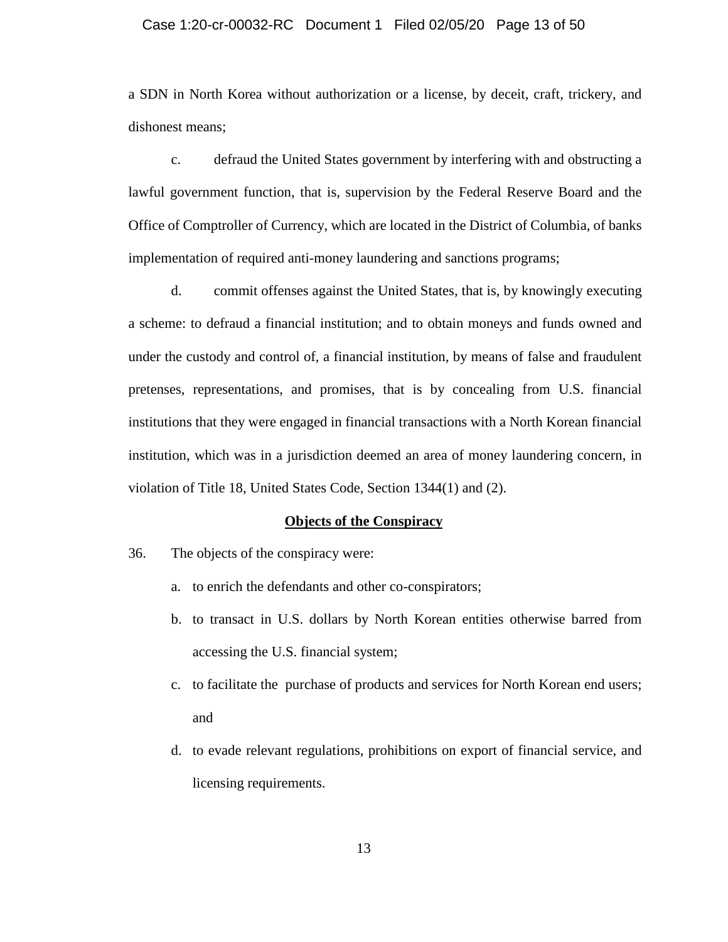### Case 1:20-cr-00032-RC Document 1 Filed 02/05/20 Page 13 of 50

a SDN in North Korea without authorization or a license, by deceit, craft, trickery, and dishonest means;

c. defraud the United States government by interfering with and obstructing a lawful government function, that is, supervision by the Federal Reserve Board and the Office of Comptroller of Currency, which are located in the District of Columbia, of banks implementation of required anti-money laundering and sanctions programs;

d. commit offenses against the United States, that is, by knowingly executing a scheme: to defraud a financial institution; and to obtain moneys and funds owned and under the custody and control of, a financial institution, by means of false and fraudulent pretenses, representations, and promises, that is by concealing from U.S. financial institutions that they were engaged in financial transactions with a North Korean financial institution, which was in a jurisdiction deemed an area of money laundering concern, in violation of Title 18, United States Code, Section 1344(1) and (2).

#### **Objects of the Conspiracy**

- 36. The objects of the conspiracy were:
	- a. to enrich the defendants and other co-conspirators;
	- b. to transact in U.S. dollars by North Korean entities otherwise barred from accessing the U.S. financial system;
	- c. to facilitate the purchase of products and services for North Korean end users; and
	- d. to evade relevant regulations, prohibitions on export of financial service, and licensing requirements.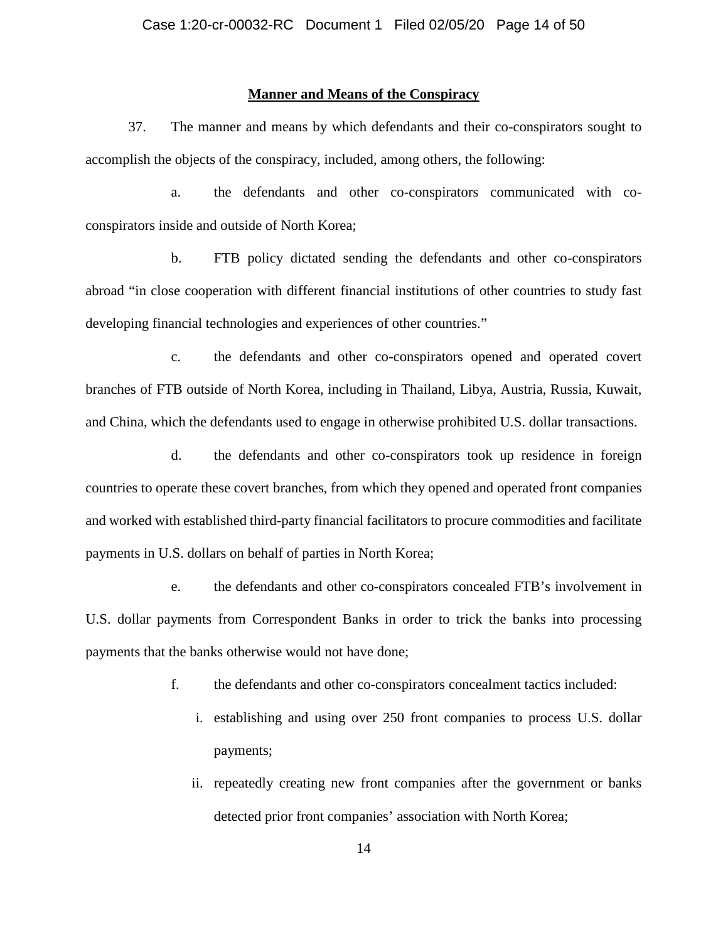## **Manner and Means of the Conspiracy**

37. The manner and means by which defendants and their co-conspirators sought to accomplish the objects of the conspiracy, included, among others, the following:

a. the defendants and other co-conspirators communicated with coconspirators inside and outside of North Korea;

b. FTB policy dictated sending the defendants and other co-conspirators abroad "in close cooperation with different financial institutions of other countries to study fast developing financial technologies and experiences of other countries."

c. the defendants and other co-conspirators opened and operated covert branches of FTB outside of North Korea, including in Thailand, Libya, Austria, Russia, Kuwait, and China, which the defendants used to engage in otherwise prohibited U.S. dollar transactions.

d. the defendants and other co-conspirators took up residence in foreign countries to operate these covert branches, from which they opened and operated front companies and worked with established third-party financial facilitators to procure commodities and facilitate payments in U.S. dollars on behalf of parties in North Korea;

e. the defendants and other co-conspirators concealed FTB's involvement in U.S. dollar payments from Correspondent Banks in order to trick the banks into processing payments that the banks otherwise would not have done;

- f. the defendants and other co-conspirators concealment tactics included:
	- i. establishing and using over 250 front companies to process U.S. dollar payments;
	- ii. repeatedly creating new front companies after the government or banks detected prior front companies' association with North Korea;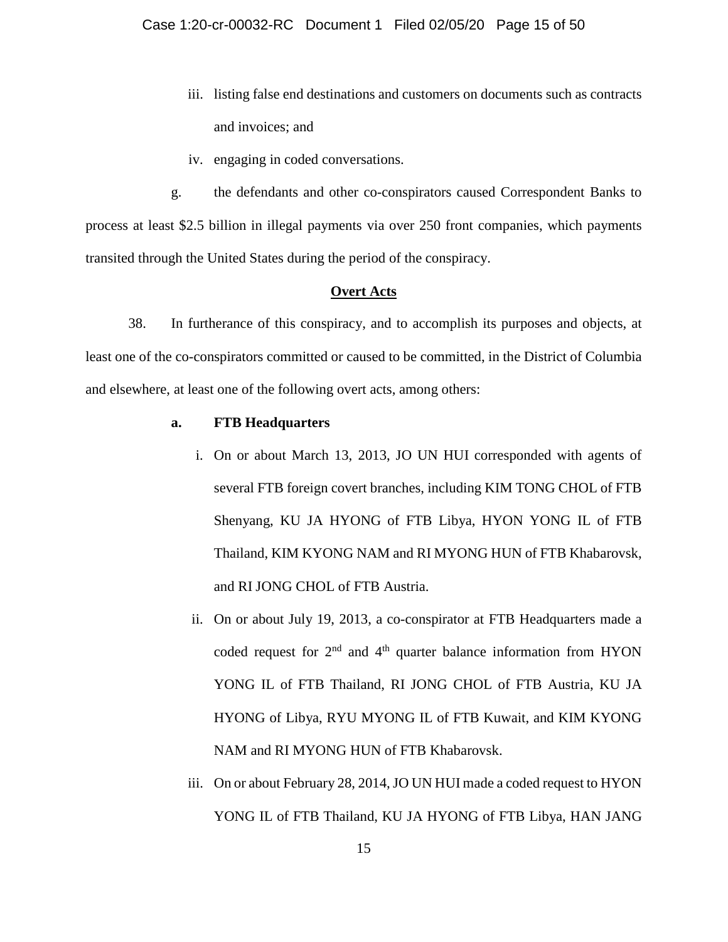- iii. listing false end destinations and customers on documents such as contracts and invoices; and
- iv. engaging in coded conversations.

g. the defendants and other co-conspirators caused Correspondent Banks to process at least \$2.5 billion in illegal payments via over 250 front companies, which payments transited through the United States during the period of the conspiracy.

#### **Overt Acts**

38. In furtherance of this conspiracy, and to accomplish its purposes and objects, at least one of the co-conspirators committed or caused to be committed, in the District of Columbia and elsewhere, at least one of the following overt acts, among others:

## **a. FTB Headquarters**

- i. On or about March 13, 2013, JO UN HUI corresponded with agents of several FTB foreign covert branches, including KIM TONG CHOL of FTB Shenyang, KU JA HYONG of FTB Libya, HYON YONG IL of FTB Thailand, KIM KYONG NAM and RI MYONG HUN of FTB Khabarovsk, and RI JONG CHOL of FTB Austria.
- ii. On or about July 19, 2013, a co-conspirator at FTB Headquarters made a coded request for  $2<sup>nd</sup>$  and  $4<sup>th</sup>$  quarter balance information from HYON YONG IL of FTB Thailand, RI JONG CHOL of FTB Austria, KU JA HYONG of Libya, RYU MYONG IL of FTB Kuwait, and KIM KYONG NAM and RI MYONG HUN of FTB Khabarovsk.
- iii. On or about February 28, 2014, JO UN HUI made a coded request to HYON YONG IL of FTB Thailand, KU JA HYONG of FTB Libya, HAN JANG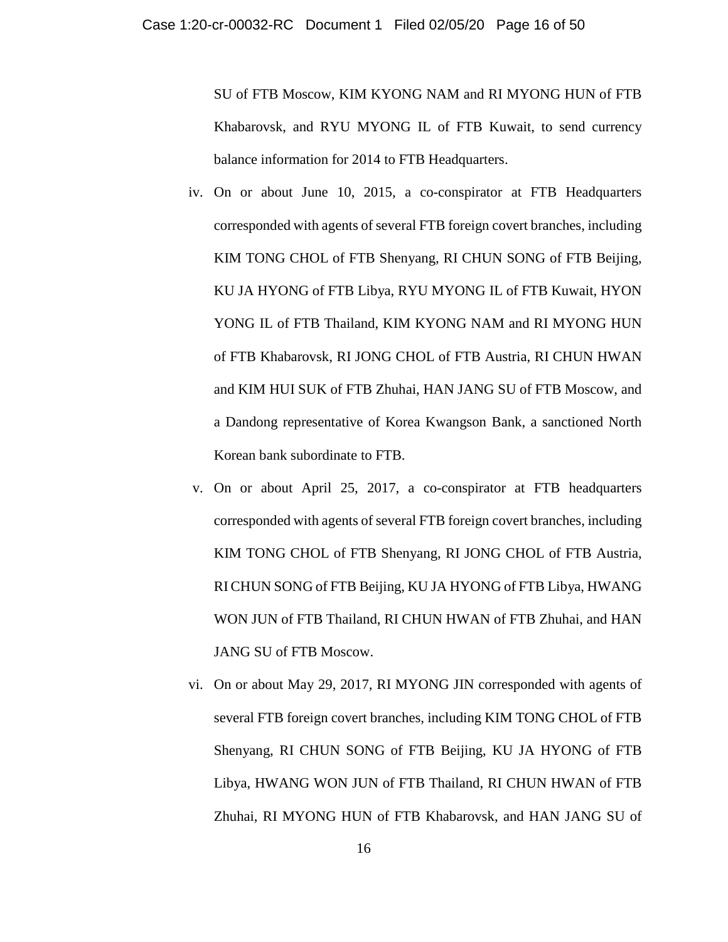SU of FTB Moscow, KIM KYONG NAM and RI MYONG HUN of FTB Khabarovsk, and RYU MYONG IL of FTB Kuwait, to send currency balance information for 2014 to FTB Headquarters.

- iv. On or about June 10, 2015, a co-conspirator at FTB Headquarters corresponded with agents of several FTB foreign covert branches, including KIM TONG CHOL of FTB Shenyang, RI CHUN SONG of FTB Beijing, KU JA HYONG of FTB Libya, RYU MYONG IL of FTB Kuwait, HYON YONG IL of FTB Thailand, KIM KYONG NAM and RI MYONG HUN of FTB Khabarovsk, RI JONG CHOL of FTB Austria, RI CHUN HWAN and KIM HUI SUK of FTB Zhuhai, HAN JANG SU of FTB Moscow, and a Dandong representative of Korea Kwangson Bank, a sanctioned North Korean bank subordinate to FTB.
- v. On or about April 25, 2017, a co-conspirator at FTB headquarters corresponded with agents of several FTB foreign covert branches, including KIM TONG CHOL of FTB Shenyang, RI JONG CHOL of FTB Austria, RI CHUN SONG of FTB Beijing, KU JA HYONG of FTB Libya, HWANG WON JUN of FTB Thailand, RI CHUN HWAN of FTB Zhuhai, and HAN JANG SU of FTB Moscow.
- vi. On or about May 29, 2017, RI MYONG JIN corresponded with agents of several FTB foreign covert branches, including KIM TONG CHOL of FTB Shenyang, RI CHUN SONG of FTB Beijing, KU JA HYONG of FTB Libya, HWANG WON JUN of FTB Thailand, RI CHUN HWAN of FTB Zhuhai, RI MYONG HUN of FTB Khabarovsk, and HAN JANG SU of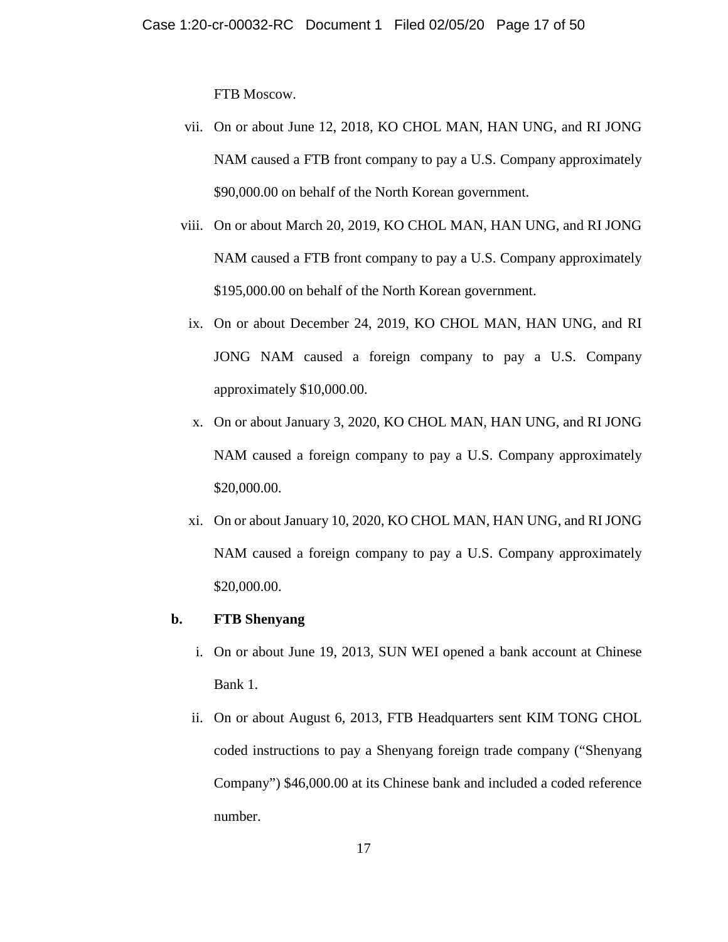FTB Moscow.

- vii. On or about June 12, 2018, KO CHOL MAN, HAN UNG, and RI JONG NAM caused a FTB front company to pay a U.S. Company approximately \$90,000.00 on behalf of the North Korean government.
- viii. On or about March 20, 2019, KO CHOL MAN, HAN UNG, and RI JONG NAM caused a FTB front company to pay a U.S. Company approximately \$195,000.00 on behalf of the North Korean government.
- ix. On or about December 24, 2019, KO CHOL MAN, HAN UNG, and RI JONG NAM caused a foreign company to pay a U.S. Company approximately \$10,000.00.
- x. On or about January 3, 2020, KO CHOL MAN, HAN UNG, and RI JONG NAM caused a foreign company to pay a U.S. Company approximately \$20,000.00.
- xi. On or about January 10, 2020, KO CHOL MAN, HAN UNG, and RI JONG NAM caused a foreign company to pay a U.S. Company approximately \$20,000.00.

## **b. FTB Shenyang**

- i. On or about June 19, 2013, SUN WEI opened a bank account at Chinese Bank 1.
- ii. On or about August 6, 2013, FTB Headquarters sent KIM TONG CHOL coded instructions to pay a Shenyang foreign trade company ("Shenyang Company") \$46,000.00 at its Chinese bank and included a coded reference number.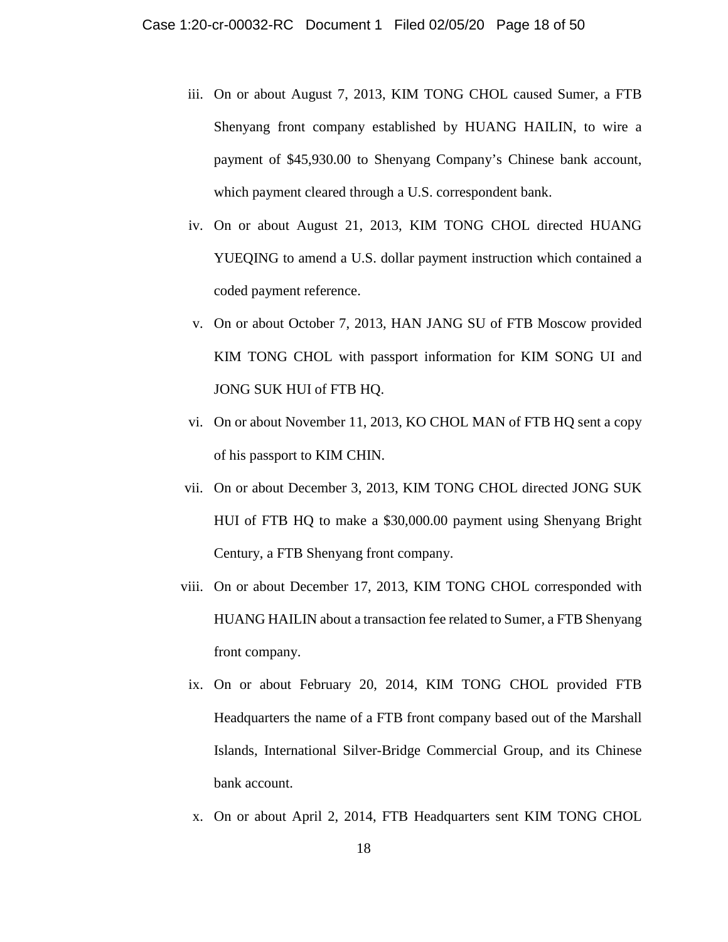- iii. On or about August 7, 2013, KIM TONG CHOL caused Sumer, a FTB Shenyang front company established by HUANG HAILIN, to wire a payment of \$45,930.00 to Shenyang Company's Chinese bank account, which payment cleared through a U.S. correspondent bank.
- iv. On or about August 21, 2013, KIM TONG CHOL directed HUANG YUEQING to amend a U.S. dollar payment instruction which contained a coded payment reference.
- v. On or about October 7, 2013, HAN JANG SU of FTB Moscow provided KIM TONG CHOL with passport information for KIM SONG UI and JONG SUK HUI of FTB HQ.
- vi. On or about November 11, 2013, KO CHOL MAN of FTB HQ sent a copy of his passport to KIM CHIN.
- vii. On or about December 3, 2013, KIM TONG CHOL directed JONG SUK HUI of FTB HQ to make a \$30,000.00 payment using Shenyang Bright Century, a FTB Shenyang front company.
- viii. On or about December 17, 2013, KIM TONG CHOL corresponded with HUANG HAILIN about a transaction fee related to Sumer, a FTB Shenyang front company.
- ix. On or about February 20, 2014, KIM TONG CHOL provided FTB Headquarters the name of a FTB front company based out of the Marshall Islands, International Silver-Bridge Commercial Group, and its Chinese bank account.
- x. On or about April 2, 2014, FTB Headquarters sent KIM TONG CHOL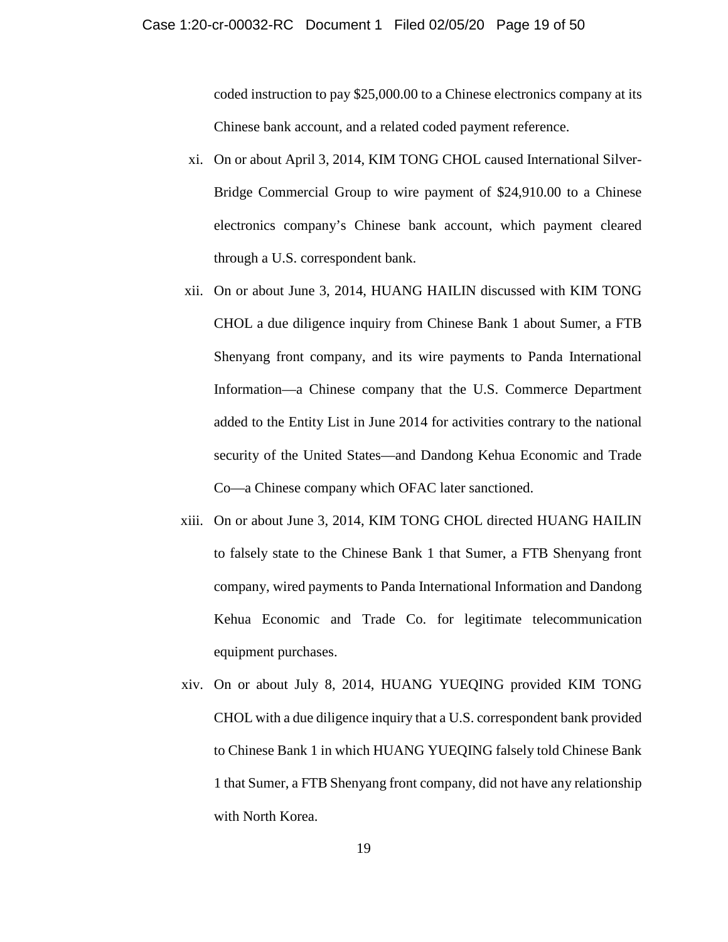coded instruction to pay \$25,000.00 to a Chinese electronics company at its Chinese bank account, and a related coded payment reference.

- xi. On or about April 3, 2014, KIM TONG CHOL caused International Silver-Bridge Commercial Group to wire payment of \$24,910.00 to a Chinese electronics company's Chinese bank account, which payment cleared through a U.S. correspondent bank.
- xii. On or about June 3, 2014, HUANG HAILIN discussed with KIM TONG CHOL a due diligence inquiry from Chinese Bank 1 about Sumer, a FTB Shenyang front company, and its wire payments to Panda International Information—a Chinese company that the U.S. Commerce Department added to the Entity List in June 2014 for activities contrary to the national security of the United States—and Dandong Kehua Economic and Trade Co—a Chinese company which OFAC later sanctioned.
- xiii. On or about June 3, 2014, KIM TONG CHOL directed HUANG HAILIN to falsely state to the Chinese Bank 1 that Sumer, a FTB Shenyang front company, wired payments to Panda International Information and Dandong Kehua Economic and Trade Co. for legitimate telecommunication equipment purchases.
- xiv. On or about July 8, 2014, HUANG YUEQING provided KIM TONG CHOL with a due diligence inquiry that a U.S. correspondent bank provided to Chinese Bank 1 in which HUANG YUEQING falsely told Chinese Bank 1 that Sumer, a FTB Shenyang front company, did not have any relationship with North Korea.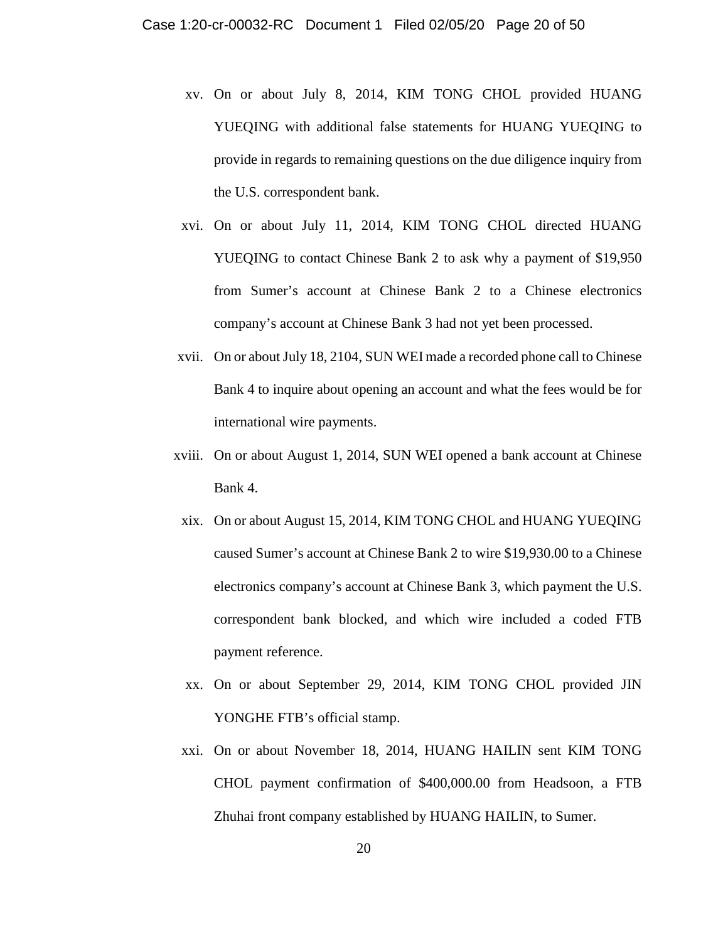- xv. On or about July 8, 2014, KIM TONG CHOL provided HUANG YUEQING with additional false statements for HUANG YUEQING to provide in regards to remaining questions on the due diligence inquiry from the U.S. correspondent bank.
- xvi. On or about July 11, 2014, KIM TONG CHOL directed HUANG YUEQING to contact Chinese Bank 2 to ask why a payment of \$19,950 from Sumer's account at Chinese Bank 2 to a Chinese electronics company's account at Chinese Bank 3 had not yet been processed.
- xvii. On or about July 18, 2104, SUN WEI made a recorded phone call to Chinese Bank 4 to inquire about opening an account and what the fees would be for international wire payments.
- xviii. On or about August 1, 2014, SUN WEI opened a bank account at Chinese Bank 4.
- xix. On or about August 15, 2014, KIM TONG CHOL and HUANG YUEQING caused Sumer's account at Chinese Bank 2 to wire \$19,930.00 to a Chinese electronics company's account at Chinese Bank 3, which payment the U.S. correspondent bank blocked, and which wire included a coded FTB payment reference.
- xx. On or about September 29, 2014, KIM TONG CHOL provided JIN YONGHE FTB's official stamp.
- xxi. On or about November 18, 2014, HUANG HAILIN sent KIM TONG CHOL payment confirmation of \$400,000.00 from Headsoon, a FTB Zhuhai front company established by HUANG HAILIN, to Sumer.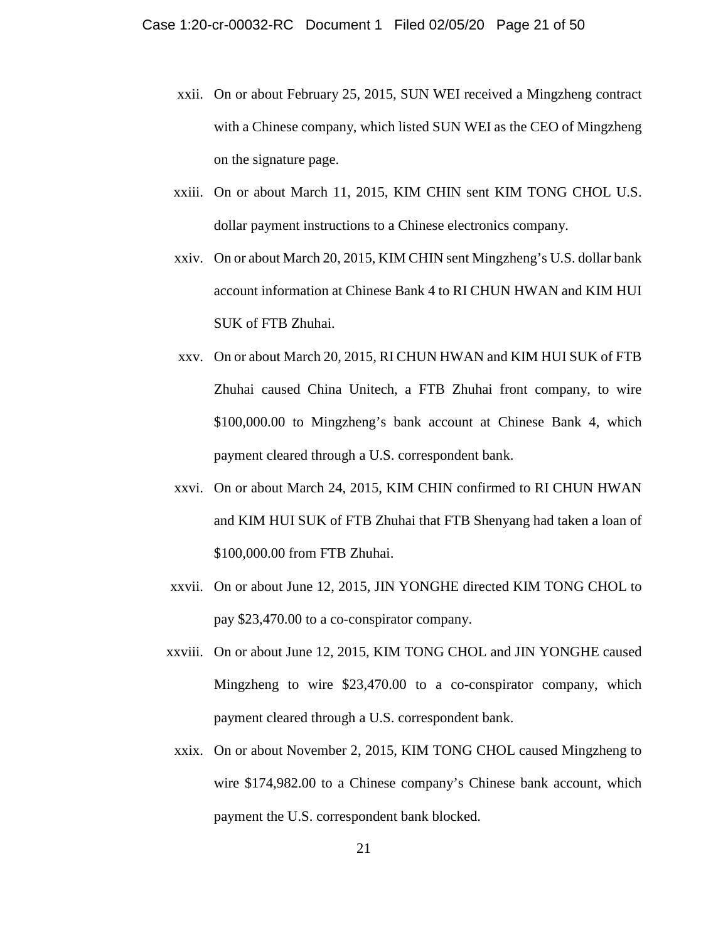- xxii. On or about February 25, 2015, SUN WEI received a Mingzheng contract with a Chinese company, which listed SUN WEI as the CEO of Mingzheng on the signature page.
- xxiii. On or about March 11, 2015, KIM CHIN sent KIM TONG CHOL U.S. dollar payment instructions to a Chinese electronics company.
- xxiv. On or about March 20, 2015, KIM CHIN sent Mingzheng's U.S. dollar bank account information at Chinese Bank 4 to RI CHUN HWAN and KIM HUI SUK of FTB Zhuhai.
- xxv. On or about March 20, 2015, RI CHUN HWAN and KIM HUI SUK of FTB Zhuhai caused China Unitech, a FTB Zhuhai front company, to wire \$100,000.00 to Mingzheng's bank account at Chinese Bank 4, which payment cleared through a U.S. correspondent bank.
- xxvi. On or about March 24, 2015, KIM CHIN confirmed to RI CHUN HWAN and KIM HUI SUK of FTB Zhuhai that FTB Shenyang had taken a loan of \$100,000.00 from FTB Zhuhai.
- xxvii. On or about June 12, 2015, JIN YONGHE directed KIM TONG CHOL to pay \$23,470.00 to a co-conspirator company.
- xxviii. On or about June 12, 2015, KIM TONG CHOL and JIN YONGHE caused Mingzheng to wire \$23,470.00 to a co-conspirator company, which payment cleared through a U.S. correspondent bank.
	- xxix. On or about November 2, 2015, KIM TONG CHOL caused Mingzheng to wire \$174,982.00 to a Chinese company's Chinese bank account, which payment the U.S. correspondent bank blocked.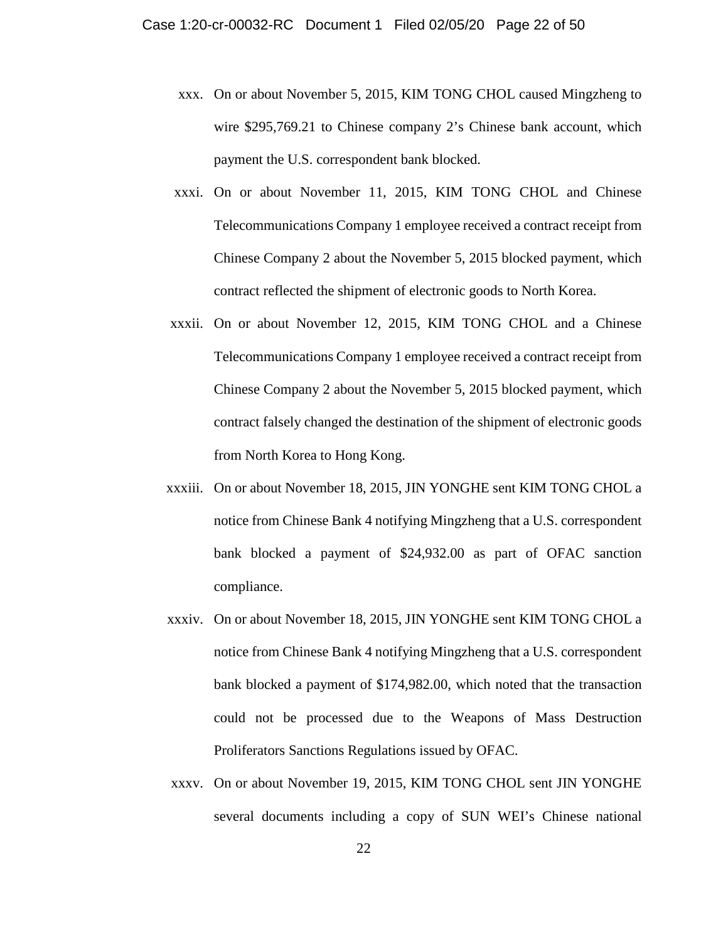- xxx. On or about November 5, 2015, KIM TONG CHOL caused Mingzheng to wire \$295,769.21 to Chinese company 2's Chinese bank account, which payment the U.S. correspondent bank blocked.
- xxxi. On or about November 11, 2015, KIM TONG CHOL and Chinese Telecommunications Company 1 employee received a contract receipt from Chinese Company 2 about the November 5, 2015 blocked payment, which contract reflected the shipment of electronic goods to North Korea.
- xxxii. On or about November 12, 2015, KIM TONG CHOL and a Chinese Telecommunications Company 1 employee received a contract receipt from Chinese Company 2 about the November 5, 2015 blocked payment, which contract falsely changed the destination of the shipment of electronic goods from North Korea to Hong Kong.
- xxxiii. On or about November 18, 2015, JIN YONGHE sent KIM TONG CHOL a notice from Chinese Bank 4 notifying Mingzheng that a U.S. correspondent bank blocked a payment of \$24,932.00 as part of OFAC sanction compliance.
- xxxiv. On or about November 18, 2015, JIN YONGHE sent KIM TONG CHOL a notice from Chinese Bank 4 notifying Mingzheng that a U.S. correspondent bank blocked a payment of \$174,982.00, which noted that the transaction could not be processed due to the Weapons of Mass Destruction Proliferators Sanctions Regulations issued by OFAC.
- xxxv. On or about November 19, 2015, KIM TONG CHOL sent JIN YONGHE several documents including a copy of SUN WEI's Chinese national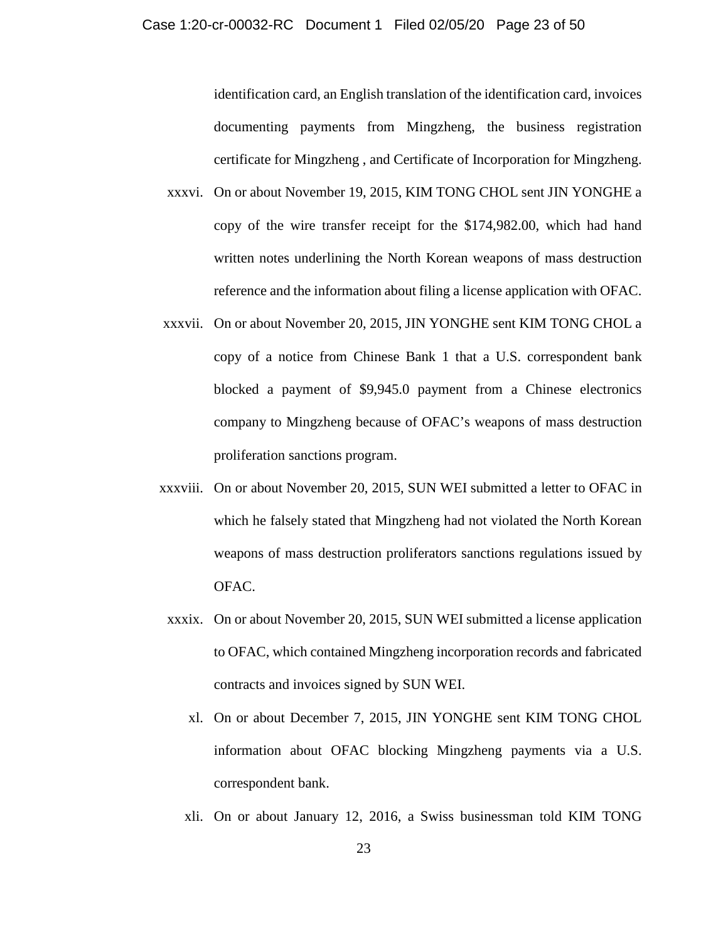identification card, an English translation of the identification card, invoices documenting payments from Mingzheng, the business registration certificate for Mingzheng , and Certificate of Incorporation for Mingzheng.

- xxxvi. On or about November 19, 2015, KIM TONG CHOL sent JIN YONGHE a copy of the wire transfer receipt for the \$174,982.00, which had hand written notes underlining the North Korean weapons of mass destruction reference and the information about filing a license application with OFAC.
- xxxvii. On or about November 20, 2015, JIN YONGHE sent KIM TONG CHOL a copy of a notice from Chinese Bank 1 that a U.S. correspondent bank blocked a payment of \$9,945.0 payment from a Chinese electronics company to Mingzheng because of OFAC's weapons of mass destruction proliferation sanctions program.
- xxxviii. On or about November 20, 2015, SUN WEI submitted a letter to OFAC in which he falsely stated that Mingzheng had not violated the North Korean weapons of mass destruction proliferators sanctions regulations issued by OFAC.
	- xxxix. On or about November 20, 2015, SUN WEI submitted a license application to OFAC, which contained Mingzheng incorporation records and fabricated contracts and invoices signed by SUN WEI.
		- xl. On or about December 7, 2015, JIN YONGHE sent KIM TONG CHOL information about OFAC blocking Mingzheng payments via a U.S. correspondent bank.
		- xli. On or about January 12, 2016, a Swiss businessman told KIM TONG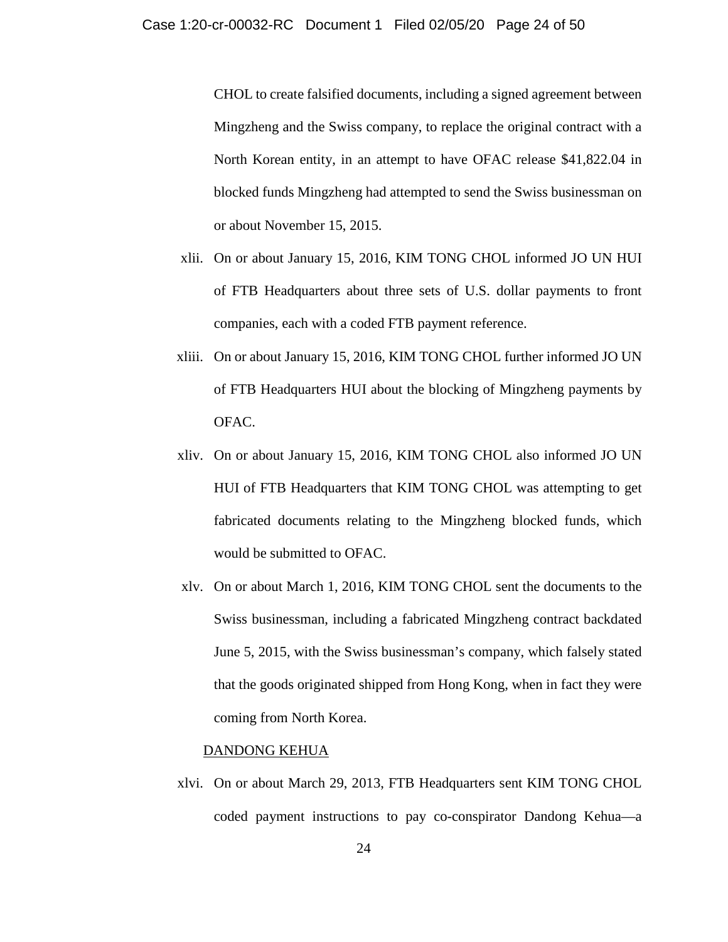CHOL to create falsified documents, including a signed agreement between Mingzheng and the Swiss company, to replace the original contract with a North Korean entity, in an attempt to have OFAC release \$41,822.04 in blocked funds Mingzheng had attempted to send the Swiss businessman on or about November 15, 2015.

- xlii. On or about January 15, 2016, KIM TONG CHOL informed JO UN HUI of FTB Headquarters about three sets of U.S. dollar payments to front companies, each with a coded FTB payment reference.
- xliii. On or about January 15, 2016, KIM TONG CHOL further informed JO UN of FTB Headquarters HUI about the blocking of Mingzheng payments by OFAC.
- xliv. On or about January 15, 2016, KIM TONG CHOL also informed JO UN HUI of FTB Headquarters that KIM TONG CHOL was attempting to get fabricated documents relating to the Mingzheng blocked funds, which would be submitted to OFAC.
- xlv. On or about March 1, 2016, KIM TONG CHOL sent the documents to the Swiss businessman, including a fabricated Mingzheng contract backdated June 5, 2015, with the Swiss businessman's company, which falsely stated that the goods originated shipped from Hong Kong, when in fact they were coming from North Korea.

#### DANDONG KEHUA

xlvi. On or about March 29, 2013, FTB Headquarters sent KIM TONG CHOL coded payment instructions to pay co-conspirator Dandong Kehua—a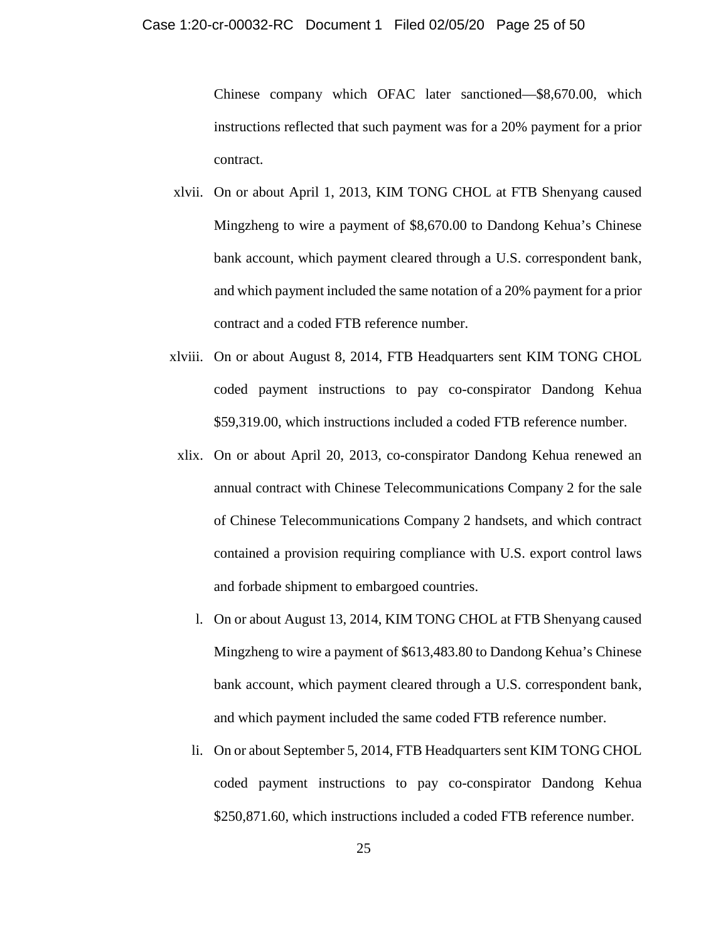Chinese company which OFAC later sanctioned—\$8,670.00, which instructions reflected that such payment was for a 20% payment for a prior contract.

- xlvii. On or about April 1, 2013, KIM TONG CHOL at FTB Shenyang caused Mingzheng to wire a payment of \$8,670.00 to Dandong Kehua's Chinese bank account, which payment cleared through a U.S. correspondent bank, and which payment included the same notation of a 20% payment for a prior contract and a coded FTB reference number.
- xlviii. On or about August 8, 2014, FTB Headquarters sent KIM TONG CHOL coded payment instructions to pay co-conspirator Dandong Kehua \$59,319.00, which instructions included a coded FTB reference number.
- xlix. On or about April 20, 2013, co-conspirator Dandong Kehua renewed an annual contract with Chinese Telecommunications Company 2 for the sale of Chinese Telecommunications Company 2 handsets, and which contract contained a provision requiring compliance with U.S. export control laws and forbade shipment to embargoed countries.
	- l. On or about August 13, 2014, KIM TONG CHOL at FTB Shenyang caused Mingzheng to wire a payment of \$613,483.80 to Dandong Kehua's Chinese bank account, which payment cleared through a U.S. correspondent bank, and which payment included the same coded FTB reference number.
	- li. On or about September 5, 2014, FTB Headquarters sent KIM TONG CHOL coded payment instructions to pay co-conspirator Dandong Kehua \$250,871.60, which instructions included a coded FTB reference number.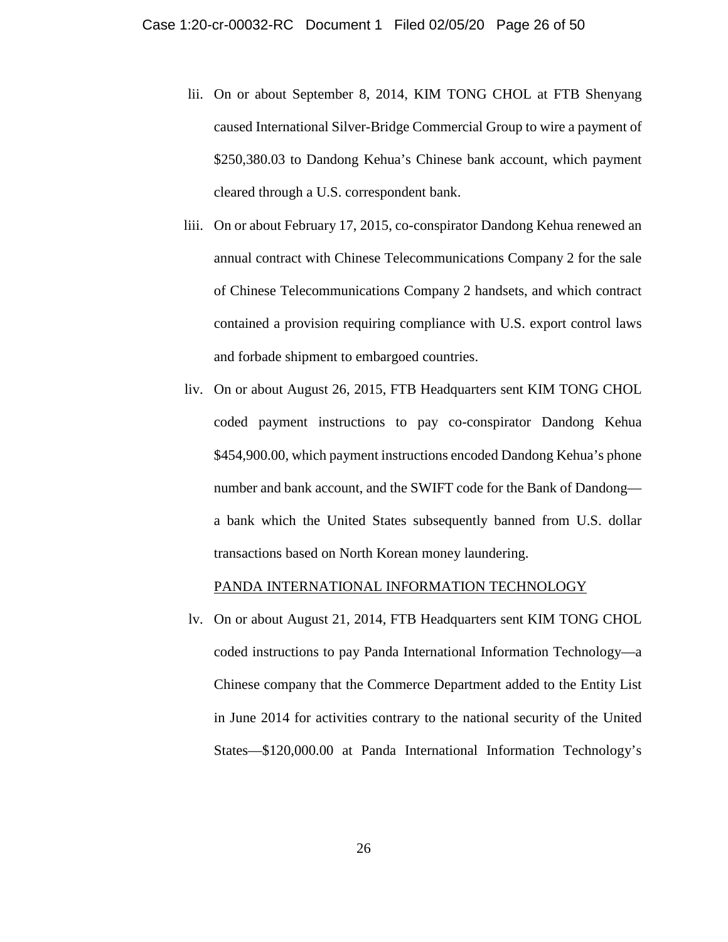- lii. On or about September 8, 2014, KIM TONG CHOL at FTB Shenyang caused International Silver-Bridge Commercial Group to wire a payment of \$250,380.03 to Dandong Kehua's Chinese bank account, which payment cleared through a U.S. correspondent bank.
- liii. On or about February 17, 2015, co-conspirator Dandong Kehua renewed an annual contract with Chinese Telecommunications Company 2 for the sale of Chinese Telecommunications Company 2 handsets, and which contract contained a provision requiring compliance with U.S. export control laws and forbade shipment to embargoed countries.
- liv. On or about August 26, 2015, FTB Headquarters sent KIM TONG CHOL coded payment instructions to pay co-conspirator Dandong Kehua \$454,900.00, which payment instructions encoded Dandong Kehua's phone number and bank account, and the SWIFT code for the Bank of Dandong a bank which the United States subsequently banned from U.S. dollar transactions based on North Korean money laundering.

## PANDA INTERNATIONAL INFORMATION TECHNOLOGY

lv. On or about August 21, 2014, FTB Headquarters sent KIM TONG CHOL coded instructions to pay Panda International Information Technology—a Chinese company that the Commerce Department added to the Entity List in June 2014 for activities contrary to the national security of the United States—\$120,000.00 at Panda International Information Technology's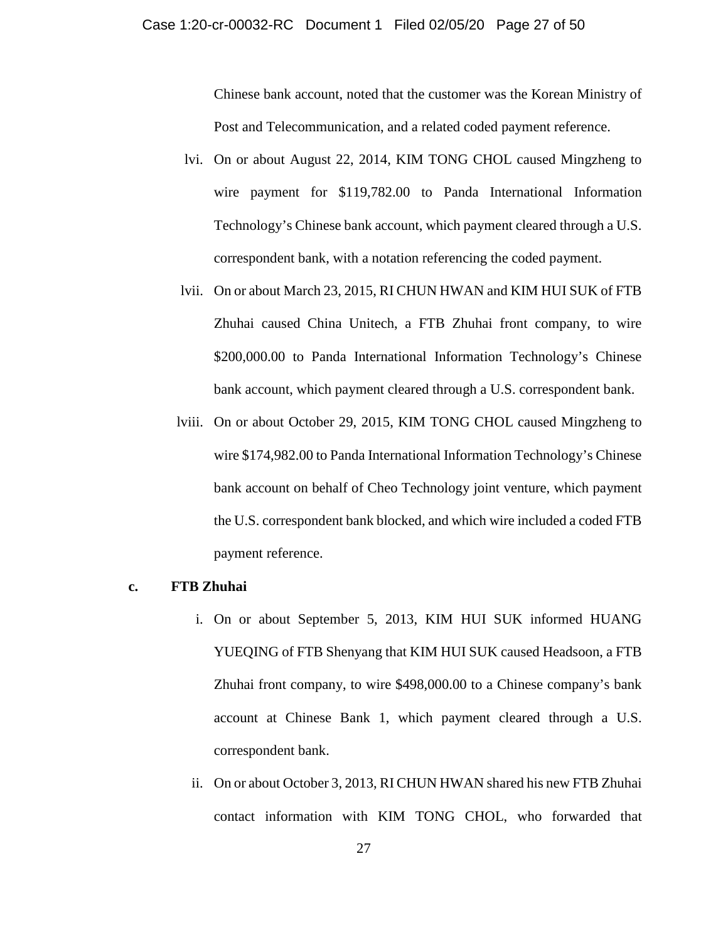### Case 1:20-cr-00032-RC Document 1 Filed 02/05/20 Page 27 of 50

Chinese bank account, noted that the customer was the Korean Ministry of Post and Telecommunication, and a related coded payment reference.

- lvi. On or about August 22, 2014, KIM TONG CHOL caused Mingzheng to wire payment for \$119,782.00 to Panda International Information Technology's Chinese bank account, which payment cleared through a U.S. correspondent bank, with a notation referencing the coded payment.
- lvii. On or about March 23, 2015, RI CHUN HWAN and KIM HUI SUK of FTB Zhuhai caused China Unitech, a FTB Zhuhai front company, to wire \$200,000.00 to Panda International Information Technology's Chinese bank account, which payment cleared through a U.S. correspondent bank.
- lviii. On or about October 29, 2015, KIM TONG CHOL caused Mingzheng to wire \$174,982.00 to Panda International Information Technology's Chinese bank account on behalf of Cheo Technology joint venture, which payment the U.S. correspondent bank blocked, and which wire included a coded FTB payment reference.

## **c. FTB Zhuhai**

- i. On or about September 5, 2013, KIM HUI SUK informed HUANG YUEQING of FTB Shenyang that KIM HUI SUK caused Headsoon, a FTB Zhuhai front company, to wire \$498,000.00 to a Chinese company's bank account at Chinese Bank 1, which payment cleared through a U.S. correspondent bank.
- ii. On or about October 3, 2013, RI CHUN HWAN shared his new FTB Zhuhai contact information with KIM TONG CHOL, who forwarded that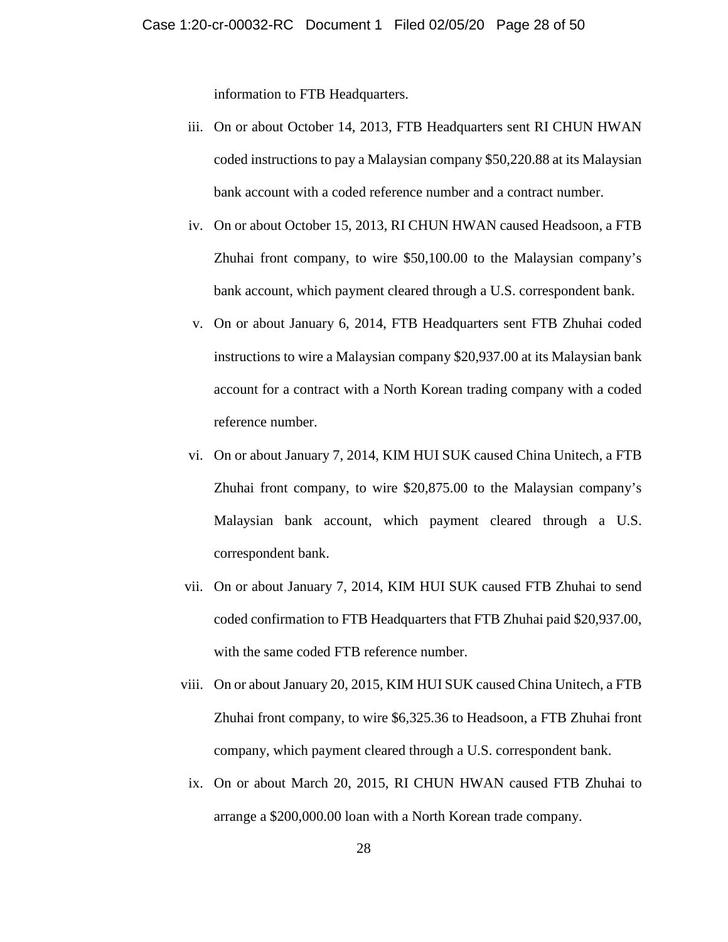information to FTB Headquarters.

- iii. On or about October 14, 2013, FTB Headquarters sent RI CHUN HWAN coded instructions to pay a Malaysian company \$50,220.88 at its Malaysian bank account with a coded reference number and a contract number.
- iv. On or about October 15, 2013, RI CHUN HWAN caused Headsoon, a FTB Zhuhai front company, to wire \$50,100.00 to the Malaysian company's bank account, which payment cleared through a U.S. correspondent bank.
- v. On or about January 6, 2014, FTB Headquarters sent FTB Zhuhai coded instructions to wire a Malaysian company \$20,937.00 at its Malaysian bank account for a contract with a North Korean trading company with a coded reference number.
- vi. On or about January 7, 2014, KIM HUI SUK caused China Unitech, a FTB Zhuhai front company, to wire \$20,875.00 to the Malaysian company's Malaysian bank account, which payment cleared through a U.S. correspondent bank.
- vii. On or about January 7, 2014, KIM HUI SUK caused FTB Zhuhai to send coded confirmation to FTB Headquarters that FTB Zhuhai paid \$20,937.00, with the same coded FTB reference number.
- viii. On or about January 20, 2015, KIM HUI SUK caused China Unitech, a FTB Zhuhai front company, to wire \$6,325.36 to Headsoon, a FTB Zhuhai front company, which payment cleared through a U.S. correspondent bank.
	- ix. On or about March 20, 2015, RI CHUN HWAN caused FTB Zhuhai to arrange a \$200,000.00 loan with a North Korean trade company.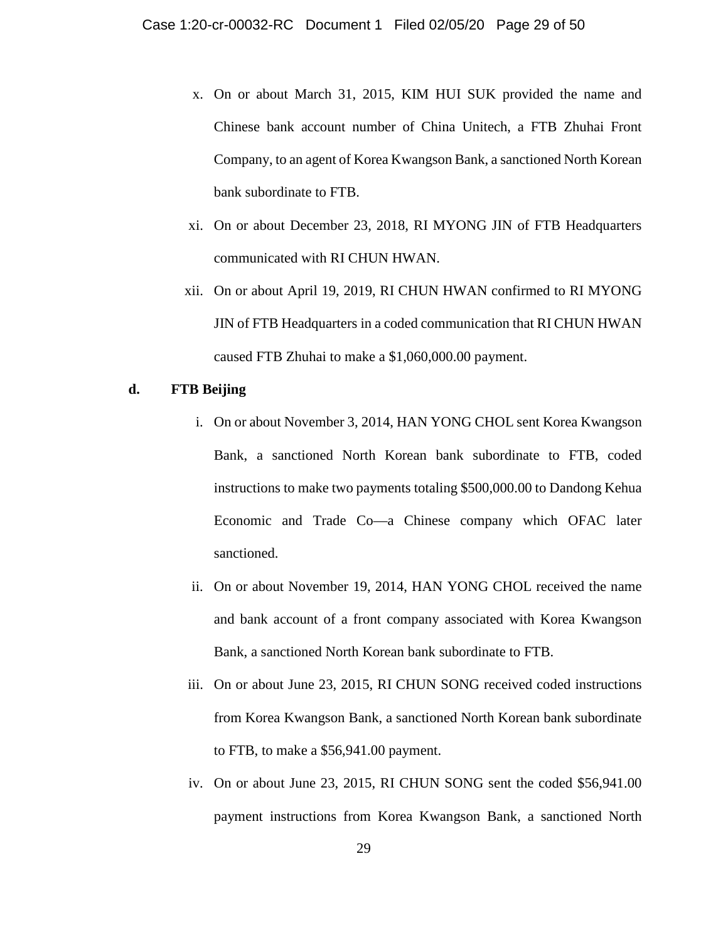- x. On or about March 31, 2015, KIM HUI SUK provided the name and Chinese bank account number of China Unitech, a FTB Zhuhai Front Company, to an agent of Korea Kwangson Bank, a sanctioned North Korean bank subordinate to FTB.
- xi. On or about December 23, 2018, RI MYONG JIN of FTB Headquarters communicated with RI CHUN HWAN.
- xii. On or about April 19, 2019, RI CHUN HWAN confirmed to RI MYONG JIN of FTB Headquarters in a coded communication that RI CHUN HWAN caused FTB Zhuhai to make a \$1,060,000.00 payment.

## **d. FTB Beijing**

- i. On or about November 3, 2014, HAN YONG CHOL sent Korea Kwangson Bank, a sanctioned North Korean bank subordinate to FTB, coded instructions to make two payments totaling \$500,000.00 to Dandong Kehua Economic and Trade Co—a Chinese company which OFAC later sanctioned.
- ii. On or about November 19, 2014, HAN YONG CHOL received the name and bank account of a front company associated with Korea Kwangson Bank, a sanctioned North Korean bank subordinate to FTB.
- iii. On or about June 23, 2015, RI CHUN SONG received coded instructions from Korea Kwangson Bank, a sanctioned North Korean bank subordinate to FTB, to make a \$56,941.00 payment.
- iv. On or about June 23, 2015, RI CHUN SONG sent the coded \$56,941.00 payment instructions from Korea Kwangson Bank, a sanctioned North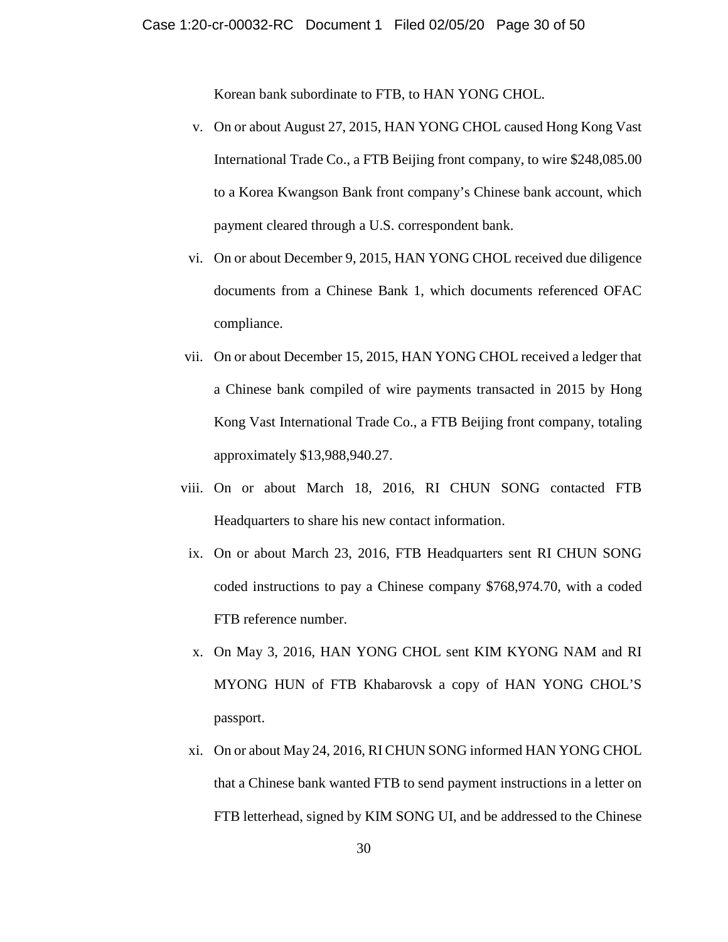Korean bank subordinate to FTB, to HAN YONG CHOL.

- v. On or about August 27, 2015, HAN YONG CHOL caused Hong Kong Vast International Trade Co., a FTB Beijing front company, to wire \$248,085.00 to a Korea Kwangson Bank front company's Chinese bank account, which payment cleared through a U.S. correspondent bank.
- vi. On or about December 9, 2015, HAN YONG CHOL received due diligence documents from a Chinese Bank 1, which documents referenced OFAC compliance.
- vii. On or about December 15, 2015, HAN YONG CHOL received a ledger that a Chinese bank compiled of wire payments transacted in 2015 by Hong Kong Vast International Trade Co., a FTB Beijing front company, totaling approximately \$13,988,940.27.
- viii. On or about March 18, 2016, RI CHUN SONG contacted FTB Headquarters to share his new contact information.
- ix. On or about March 23, 2016, FTB Headquarters sent RI CHUN SONG coded instructions to pay a Chinese company \$768,974.70, with a coded FTB reference number.
- x. On May 3, 2016, HAN YONG CHOL sent KIM KYONG NAM and RI MYONG HUN of FTB Khabarovsk a copy of HAN YONG CHOL'S passport.
- xi. On or about May 24, 2016, RI CHUN SONG informed HAN YONG CHOL that a Chinese bank wanted FTB to send payment instructions in a letter on FTB letterhead, signed by KIM SONG UI, and be addressed to the Chinese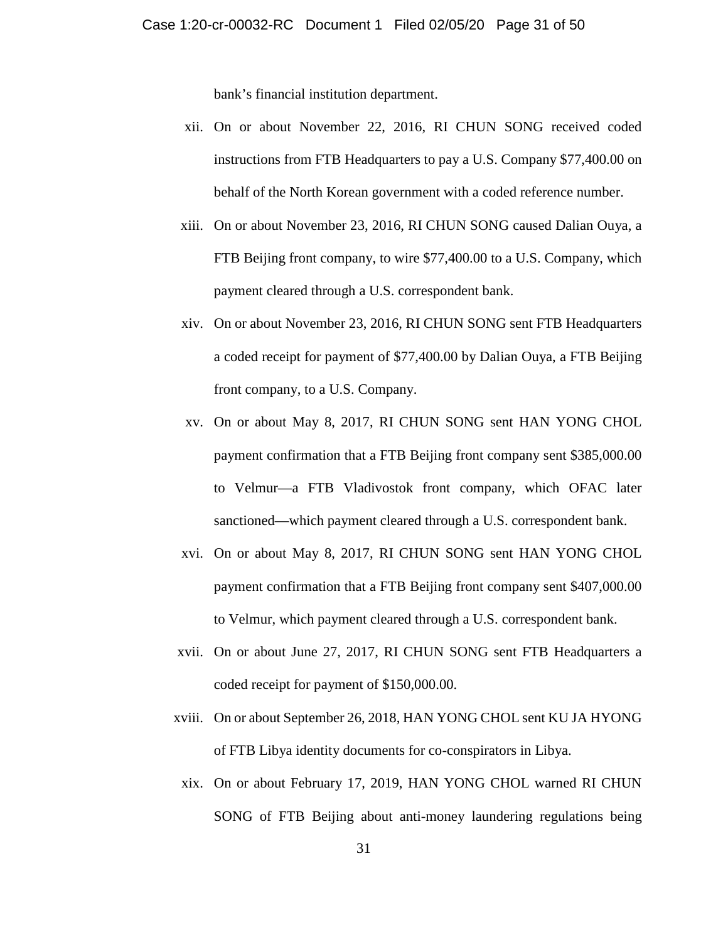bank's financial institution department.

- xii. On or about November 22, 2016, RI CHUN SONG received coded instructions from FTB Headquarters to pay a U.S. Company \$77,400.00 on behalf of the North Korean government with a coded reference number.
- xiii. On or about November 23, 2016, RI CHUN SONG caused Dalian Ouya, a FTB Beijing front company, to wire \$77,400.00 to a U.S. Company, which payment cleared through a U.S. correspondent bank.
- xiv. On or about November 23, 2016, RI CHUN SONG sent FTB Headquarters a coded receipt for payment of \$77,400.00 by Dalian Ouya, a FTB Beijing front company, to a U.S. Company.
- xv. On or about May 8, 2017, RI CHUN SONG sent HAN YONG CHOL payment confirmation that a FTB Beijing front company sent \$385,000.00 to Velmur—a FTB Vladivostok front company, which OFAC later sanctioned—which payment cleared through a U.S. correspondent bank.
- xvi. On or about May 8, 2017, RI CHUN SONG sent HAN YONG CHOL payment confirmation that a FTB Beijing front company sent \$407,000.00 to Velmur, which payment cleared through a U.S. correspondent bank.
- xvii. On or about June 27, 2017, RI CHUN SONG sent FTB Headquarters a coded receipt for payment of \$150,000.00.
- xviii. On or about September 26, 2018, HAN YONG CHOL sent KU JA HYONG of FTB Libya identity documents for co-conspirators in Libya.
	- xix. On or about February 17, 2019, HAN YONG CHOL warned RI CHUN SONG of FTB Beijing about anti-money laundering regulations being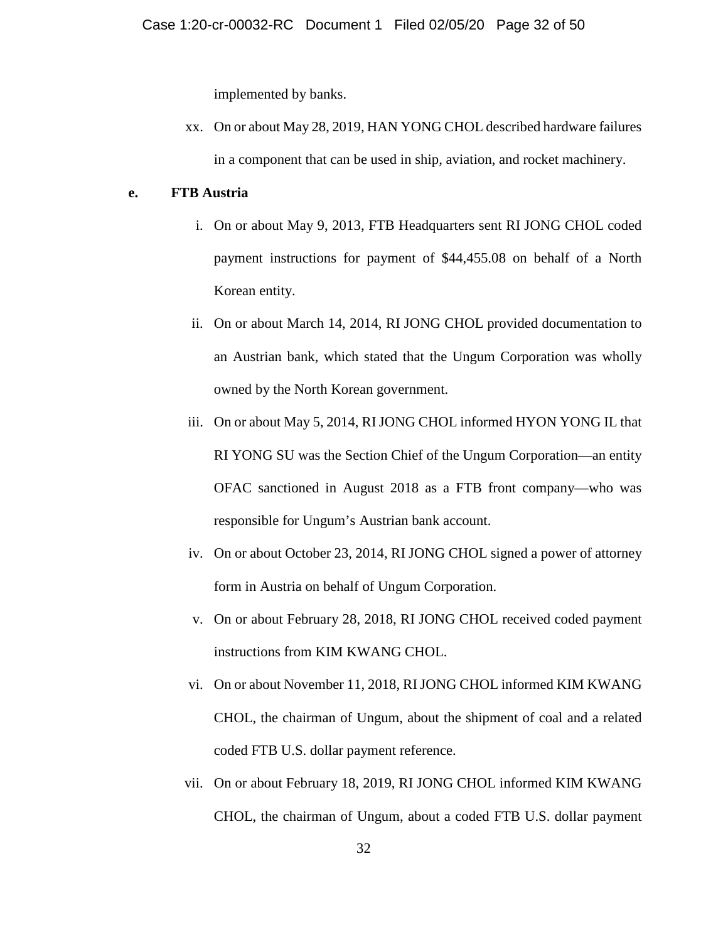implemented by banks.

xx. On or about May 28, 2019, HAN YONG CHOL described hardware failures in a component that can be used in ship, aviation, and rocket machinery.

## **e. FTB Austria**

- i. On or about May 9, 2013, FTB Headquarters sent RI JONG CHOL coded payment instructions for payment of \$44,455.08 on behalf of a North Korean entity.
- ii. On or about March 14, 2014, RI JONG CHOL provided documentation to an Austrian bank, which stated that the Ungum Corporation was wholly owned by the North Korean government.
- iii. On or about May 5, 2014, RI JONG CHOL informed HYON YONG IL that RI YONG SU was the Section Chief of the Ungum Corporation—an entity OFAC sanctioned in August 2018 as a FTB front company—who was responsible for Ungum's Austrian bank account.
- iv. On or about October 23, 2014, RI JONG CHOL signed a power of attorney form in Austria on behalf of Ungum Corporation.
- v. On or about February 28, 2018, RI JONG CHOL received coded payment instructions from KIM KWANG CHOL.
- vi. On or about November 11, 2018, RI JONG CHOL informed KIM KWANG CHOL, the chairman of Ungum, about the shipment of coal and a related coded FTB U.S. dollar payment reference.
- vii. On or about February 18, 2019, RI JONG CHOL informed KIM KWANG CHOL, the chairman of Ungum, about a coded FTB U.S. dollar payment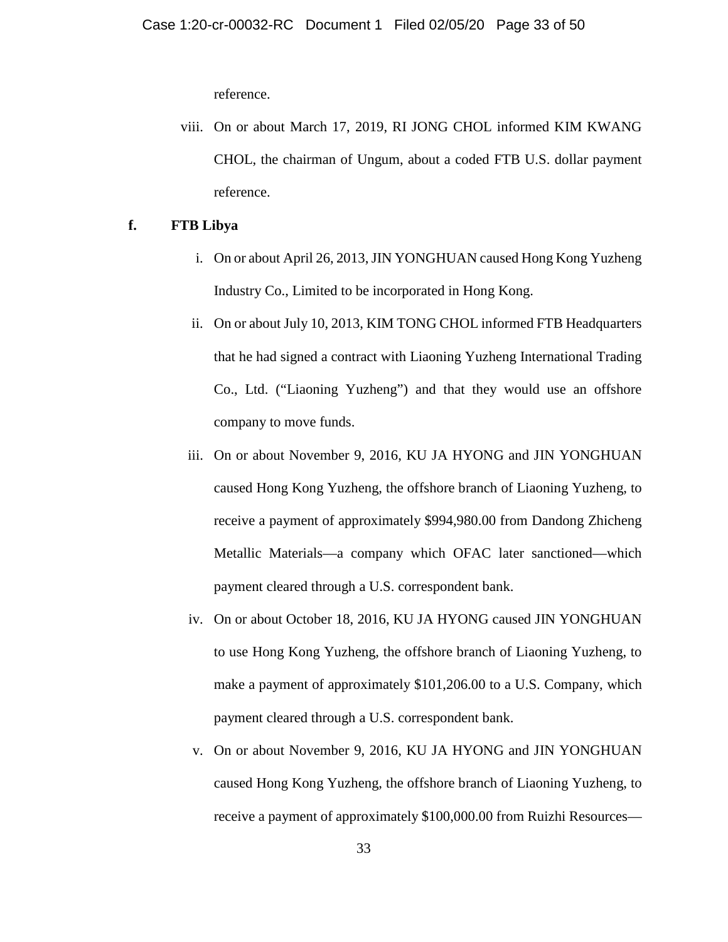reference.

viii. On or about March 17, 2019, RI JONG CHOL informed KIM KWANG CHOL, the chairman of Ungum, about a coded FTB U.S. dollar payment reference.

## **f. FTB Libya**

- i. On or about April 26, 2013, JIN YONGHUAN caused Hong Kong Yuzheng Industry Co., Limited to be incorporated in Hong Kong.
- ii. On or about July 10, 2013, KIM TONG CHOL informed FTB Headquarters that he had signed a contract with Liaoning Yuzheng International Trading Co., Ltd. ("Liaoning Yuzheng") and that they would use an offshore company to move funds.
- iii. On or about November 9, 2016, KU JA HYONG and JIN YONGHUAN caused Hong Kong Yuzheng, the offshore branch of Liaoning Yuzheng, to receive a payment of approximately \$994,980.00 from Dandong Zhicheng Metallic Materials—a company which OFAC later sanctioned—which payment cleared through a U.S. correspondent bank.
- iv. On or about October 18, 2016, KU JA HYONG caused JIN YONGHUAN to use Hong Kong Yuzheng, the offshore branch of Liaoning Yuzheng, to make a payment of approximately \$101,206.00 to a U.S. Company, which payment cleared through a U.S. correspondent bank.
- v. On or about November 9, 2016, KU JA HYONG and JIN YONGHUAN caused Hong Kong Yuzheng, the offshore branch of Liaoning Yuzheng, to receive a payment of approximately \$100,000.00 from Ruizhi Resources—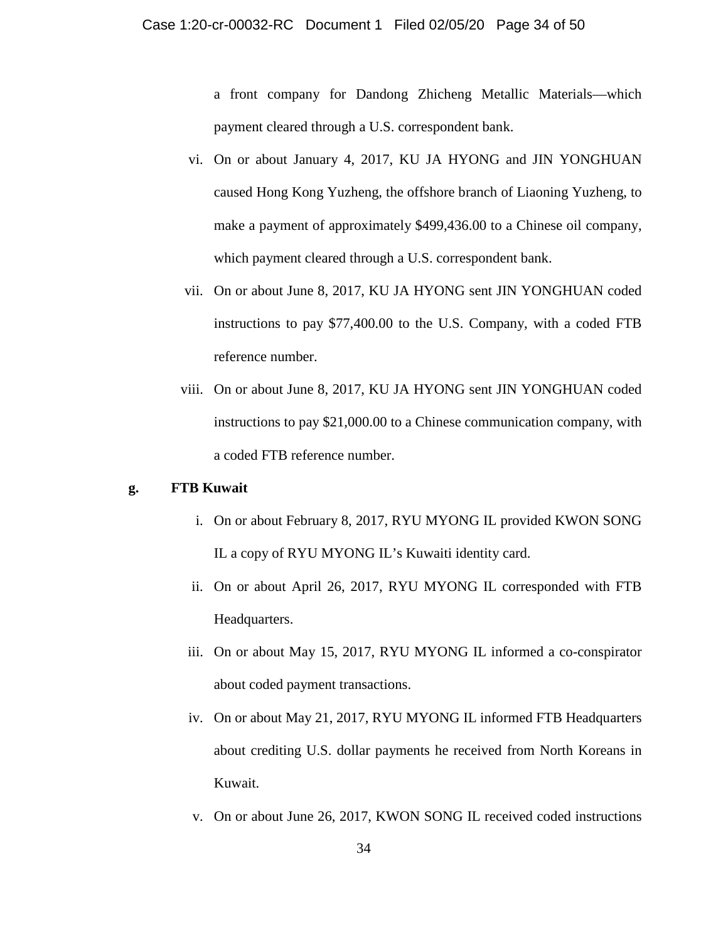a front company for Dandong Zhicheng Metallic Materials—which payment cleared through a U.S. correspondent bank.

- vi. On or about January 4, 2017, KU JA HYONG and JIN YONGHUAN caused Hong Kong Yuzheng, the offshore branch of Liaoning Yuzheng, to make a payment of approximately \$499,436.00 to a Chinese oil company, which payment cleared through a U.S. correspondent bank.
- vii. On or about June 8, 2017, KU JA HYONG sent JIN YONGHUAN coded instructions to pay \$77,400.00 to the U.S. Company, with a coded FTB reference number.
- viii. On or about June 8, 2017, KU JA HYONG sent JIN YONGHUAN coded instructions to pay \$21,000.00 to a Chinese communication company, with a coded FTB reference number.

## **g. FTB Kuwait**

- i. On or about February 8, 2017, RYU MYONG IL provided KWON SONG IL a copy of RYU MYONG IL's Kuwaiti identity card.
- ii. On or about April 26, 2017, RYU MYONG IL corresponded with FTB Headquarters.
- iii. On or about May 15, 2017, RYU MYONG IL informed a co-conspirator about coded payment transactions.
- iv. On or about May 21, 2017, RYU MYONG IL informed FTB Headquarters about crediting U.S. dollar payments he received from North Koreans in Kuwait.
- v. On or about June 26, 2017, KWON SONG IL received coded instructions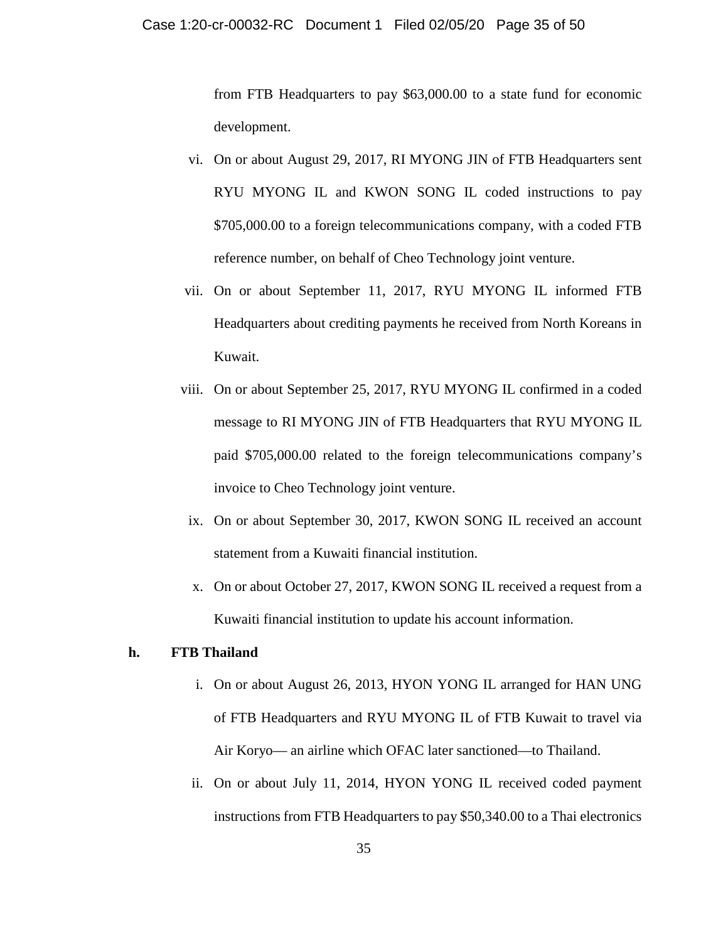from FTB Headquarters to pay \$63,000.00 to a state fund for economic development.

- vi. On or about August 29, 2017, RI MYONG JIN of FTB Headquarters sent RYU MYONG IL and KWON SONG IL coded instructions to pay \$705,000.00 to a foreign telecommunications company, with a coded FTB reference number, on behalf of Cheo Technology joint venture.
- vii. On or about September 11, 2017, RYU MYONG IL informed FTB Headquarters about crediting payments he received from North Koreans in Kuwait.
- viii. On or about September 25, 2017, RYU MYONG IL confirmed in a coded message to RI MYONG JIN of FTB Headquarters that RYU MYONG IL paid \$705,000.00 related to the foreign telecommunications company's invoice to Cheo Technology joint venture.
	- ix. On or about September 30, 2017, KWON SONG IL received an account statement from a Kuwaiti financial institution.
	- x. On or about October 27, 2017, KWON SONG IL received a request from a Kuwaiti financial institution to update his account information.

## **h. FTB Thailand**

- i. On or about August 26, 2013, HYON YONG IL arranged for HAN UNG of FTB Headquarters and RYU MYONG IL of FTB Kuwait to travel via Air Koryo— an airline which OFAC later sanctioned—to Thailand.
- ii. On or about July 11, 2014, HYON YONG IL received coded payment instructions from FTB Headquarters to pay \$50,340.00 to a Thai electronics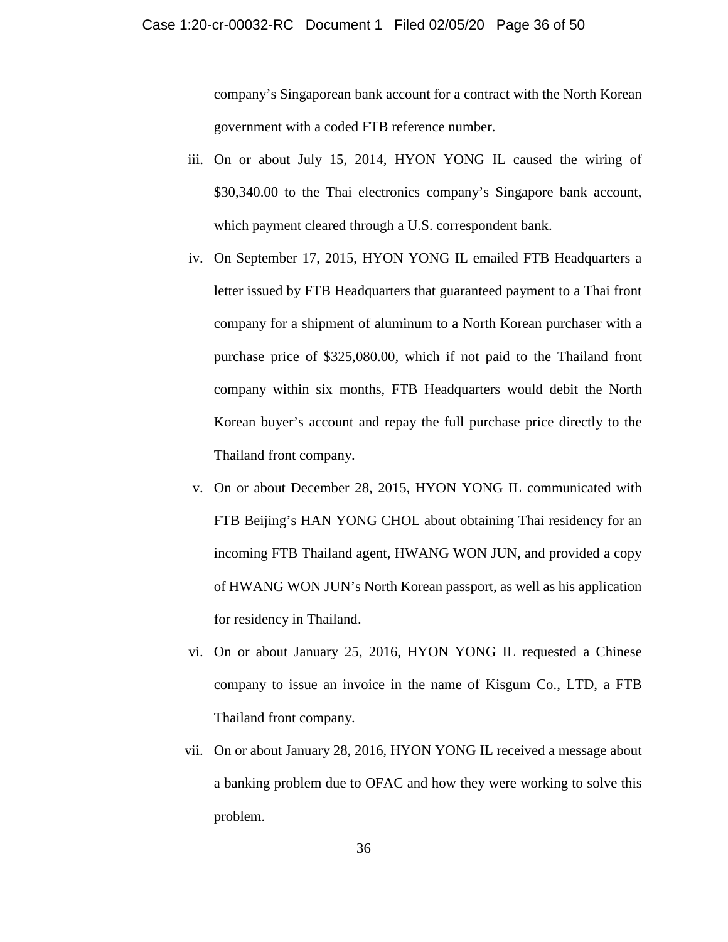company's Singaporean bank account for a contract with the North Korean government with a coded FTB reference number.

- iii. On or about July 15, 2014, HYON YONG IL caused the wiring of \$30,340.00 to the Thai electronics company's Singapore bank account, which payment cleared through a U.S. correspondent bank.
- iv. On September 17, 2015, HYON YONG IL emailed FTB Headquarters a letter issued by FTB Headquarters that guaranteed payment to a Thai front company for a shipment of aluminum to a North Korean purchaser with a purchase price of \$325,080.00, which if not paid to the Thailand front company within six months, FTB Headquarters would debit the North Korean buyer's account and repay the full purchase price directly to the Thailand front company.
- v. On or about December 28, 2015, HYON YONG IL communicated with FTB Beijing's HAN YONG CHOL about obtaining Thai residency for an incoming FTB Thailand agent, HWANG WON JUN, and provided a copy of HWANG WON JUN's North Korean passport, as well as his application for residency in Thailand.
- vi. On or about January 25, 2016, HYON YONG IL requested a Chinese company to issue an invoice in the name of Kisgum Co., LTD, a FTB Thailand front company.
- vii. On or about January 28, 2016, HYON YONG IL received a message about a banking problem due to OFAC and how they were working to solve this problem.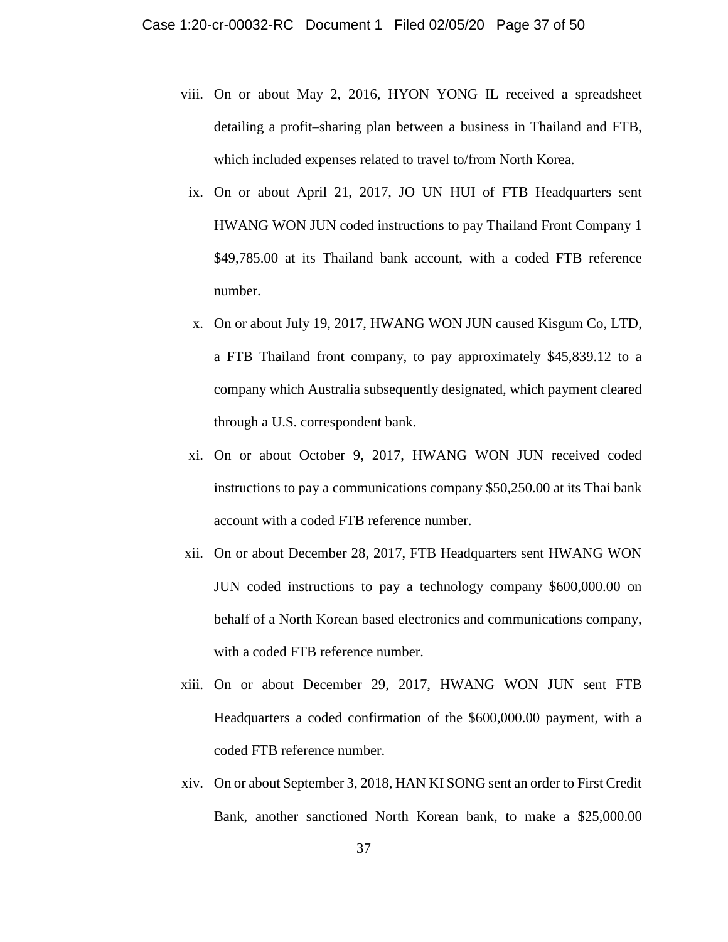- viii. On or about May 2, 2016, HYON YONG IL received a spreadsheet detailing a profit–sharing plan between a business in Thailand and FTB, which included expenses related to travel to/from North Korea.
	- ix. On or about April 21, 2017, JO UN HUI of FTB Headquarters sent HWANG WON JUN coded instructions to pay Thailand Front Company 1 \$49,785.00 at its Thailand bank account, with a coded FTB reference number.
	- x. On or about July 19, 2017, HWANG WON JUN caused Kisgum Co, LTD, a FTB Thailand front company, to pay approximately \$45,839.12 to a company which Australia subsequently designated, which payment cleared through a U.S. correspondent bank.
	- xi. On or about October 9, 2017, HWANG WON JUN received coded instructions to pay a communications company \$50,250.00 at its Thai bank account with a coded FTB reference number.
- xii. On or about December 28, 2017, FTB Headquarters sent HWANG WON JUN coded instructions to pay a technology company \$600,000.00 on behalf of a North Korean based electronics and communications company, with a coded FTB reference number.
- xiii. On or about December 29, 2017, HWANG WON JUN sent FTB Headquarters a coded confirmation of the \$600,000.00 payment, with a coded FTB reference number.
- xiv. On or about September 3, 2018, HAN KI SONG sent an order to First Credit Bank, another sanctioned North Korean bank, to make a \$25,000.00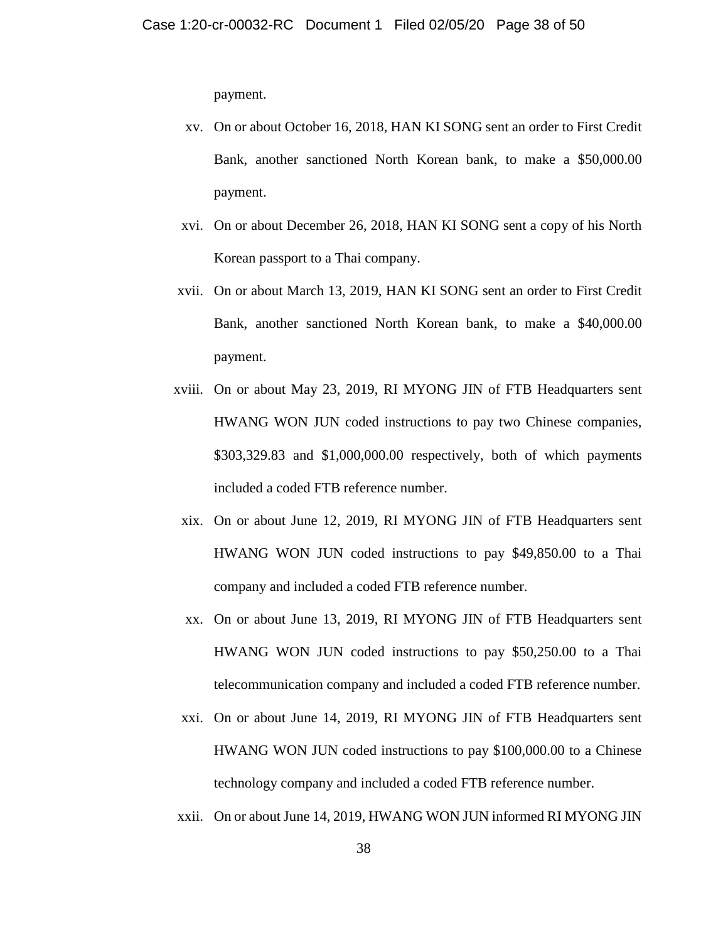payment.

- xv. On or about October 16, 2018, HAN KI SONG sent an order to First Credit Bank, another sanctioned North Korean bank, to make a \$50,000.00 payment.
- xvi. On or about December 26, 2018, HAN KI SONG sent a copy of his North Korean passport to a Thai company.
- xvii. On or about March 13, 2019, HAN KI SONG sent an order to First Credit Bank, another sanctioned North Korean bank, to make a \$40,000.00 payment.
- xviii. On or about May 23, 2019, RI MYONG JIN of FTB Headquarters sent HWANG WON JUN coded instructions to pay two Chinese companies, \$303,329.83 and \$1,000,000.00 respectively, both of which payments included a coded FTB reference number.
	- xix. On or about June 12, 2019, RI MYONG JIN of FTB Headquarters sent HWANG WON JUN coded instructions to pay \$49,850.00 to a Thai company and included a coded FTB reference number.
	- xx. On or about June 13, 2019, RI MYONG JIN of FTB Headquarters sent HWANG WON JUN coded instructions to pay \$50,250.00 to a Thai telecommunication company and included a coded FTB reference number.
- xxi. On or about June 14, 2019, RI MYONG JIN of FTB Headquarters sent HWANG WON JUN coded instructions to pay \$100,000.00 to a Chinese technology company and included a coded FTB reference number.
- xxii. On or about June 14, 2019, HWANG WON JUN informed RI MYONG JIN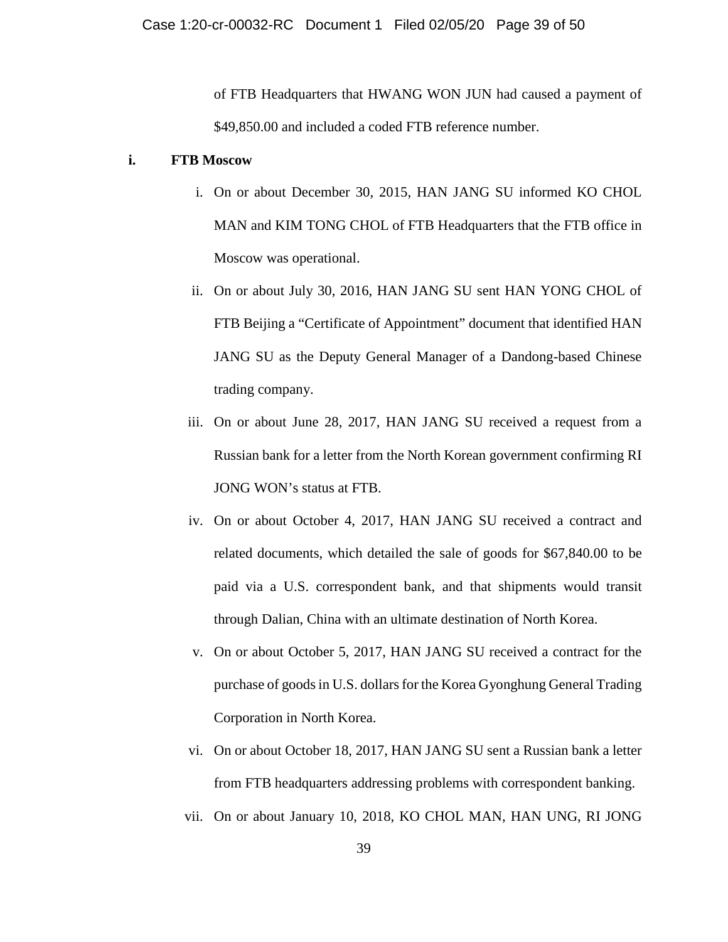of FTB Headquarters that HWANG WON JUN had caused a payment of \$49,850.00 and included a coded FTB reference number.

## **i. FTB Moscow**

- i. On or about December 30, 2015, HAN JANG SU informed KO CHOL MAN and KIM TONG CHOL of FTB Headquarters that the FTB office in Moscow was operational.
- ii. On or about July 30, 2016, HAN JANG SU sent HAN YONG CHOL of FTB Beijing a "Certificate of Appointment" document that identified HAN JANG SU as the Deputy General Manager of a Dandong-based Chinese trading company.
- iii. On or about June 28, 2017, HAN JANG SU received a request from a Russian bank for a letter from the North Korean government confirming RI JONG WON's status at FTB.
- iv. On or about October 4, 2017, HAN JANG SU received a contract and related documents, which detailed the sale of goods for \$67,840.00 to be paid via a U.S. correspondent bank, and that shipments would transit through Dalian, China with an ultimate destination of North Korea.
- v. On or about October 5, 2017, HAN JANG SU received a contract for the purchase of goods in U.S. dollars for the Korea Gyonghung General Trading Corporation in North Korea.
- vi. On or about October 18, 2017, HAN JANG SU sent a Russian bank a letter from FTB headquarters addressing problems with correspondent banking.
- vii. On or about January 10, 2018, KO CHOL MAN, HAN UNG, RI JONG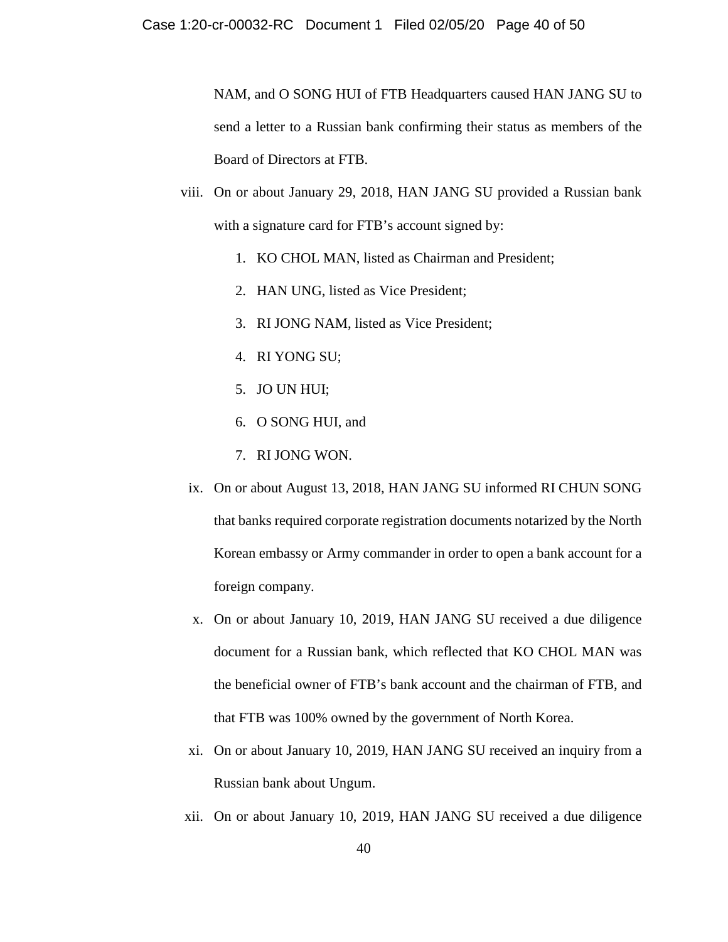NAM, and O SONG HUI of FTB Headquarters caused HAN JANG SU to send a letter to a Russian bank confirming their status as members of the Board of Directors at FTB.

- viii. On or about January 29, 2018, HAN JANG SU provided a Russian bank with a signature card for FTB's account signed by:
	- 1. KO CHOL MAN, listed as Chairman and President;
	- 2. HAN UNG, listed as Vice President;
	- 3. RI JONG NAM, listed as Vice President;
	- 4. RI YONG SU;
	- 5. JO UN HUI;
	- 6. O SONG HUI, and
	- 7. RI JONG WON.
	- ix. On or about August 13, 2018, HAN JANG SU informed RI CHUN SONG that banks required corporate registration documents notarized by the North Korean embassy or Army commander in order to open a bank account for a foreign company.
	- x. On or about January 10, 2019, HAN JANG SU received a due diligence document for a Russian bank, which reflected that KO CHOL MAN was the beneficial owner of FTB's bank account and the chairman of FTB, and that FTB was 100% owned by the government of North Korea.
	- xi. On or about January 10, 2019, HAN JANG SU received an inquiry from a Russian bank about Ungum.
- xii. On or about January 10, 2019, HAN JANG SU received a due diligence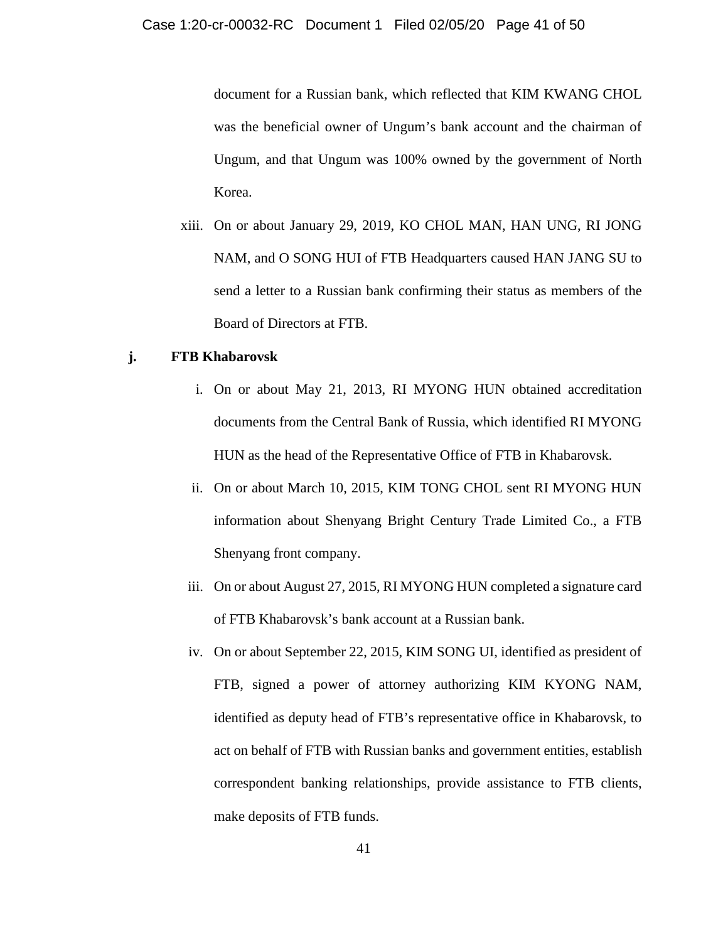document for a Russian bank, which reflected that KIM KWANG CHOL was the beneficial owner of Ungum's bank account and the chairman of Ungum, and that Ungum was 100% owned by the government of North Korea.

xiii. On or about January 29, 2019, KO CHOL MAN, HAN UNG, RI JONG NAM, and O SONG HUI of FTB Headquarters caused HAN JANG SU to send a letter to a Russian bank confirming their status as members of the Board of Directors at FTB.

## **j. FTB Khabarovsk**

- i. On or about May 21, 2013, RI MYONG HUN obtained accreditation documents from the Central Bank of Russia, which identified RI MYONG HUN as the head of the Representative Office of FTB in Khabarovsk.
- ii. On or about March 10, 2015, KIM TONG CHOL sent RI MYONG HUN information about Shenyang Bright Century Trade Limited Co., a FTB Shenyang front company.
- iii. On or about August 27, 2015, RI MYONG HUN completed a signature card of FTB Khabarovsk's bank account at a Russian bank.
- iv. On or about September 22, 2015, KIM SONG UI, identified as president of FTB, signed a power of attorney authorizing KIM KYONG NAM, identified as deputy head of FTB's representative office in Khabarovsk, to act on behalf of FTB with Russian banks and government entities, establish correspondent banking relationships, provide assistance to FTB clients, make deposits of FTB funds.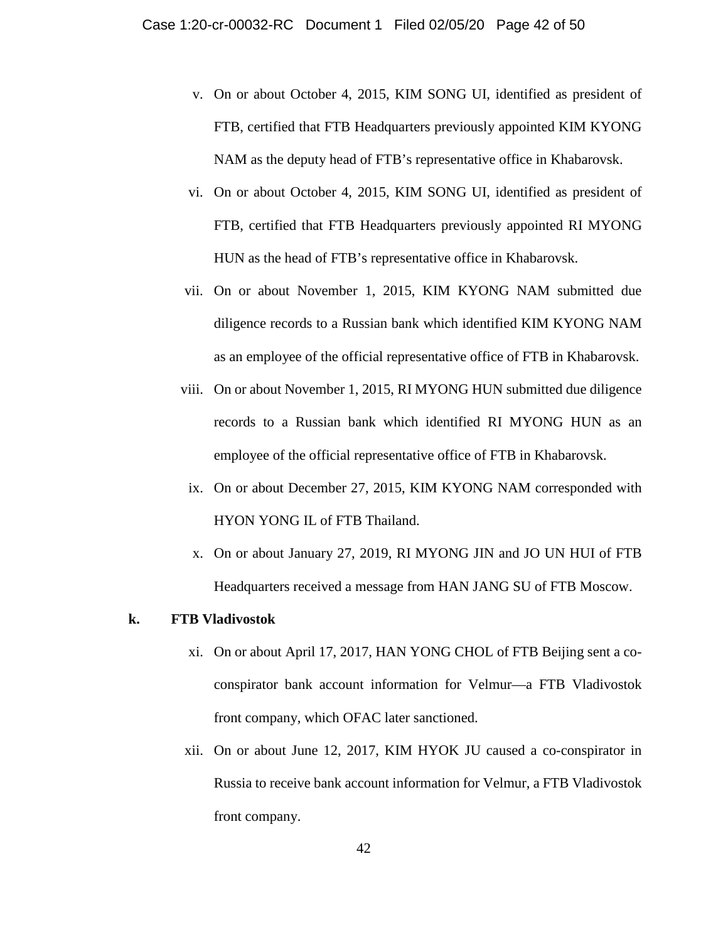- v. On or about October 4, 2015, KIM SONG UI, identified as president of FTB, certified that FTB Headquarters previously appointed KIM KYONG NAM as the deputy head of FTB's representative office in Khabarovsk.
- vi. On or about October 4, 2015, KIM SONG UI, identified as president of FTB, certified that FTB Headquarters previously appointed RI MYONG HUN as the head of FTB's representative office in Khabarovsk.
- vii. On or about November 1, 2015, KIM KYONG NAM submitted due diligence records to a Russian bank which identified KIM KYONG NAM as an employee of the official representative office of FTB in Khabarovsk.
- viii. On or about November 1, 2015, RI MYONG HUN submitted due diligence records to a Russian bank which identified RI MYONG HUN as an employee of the official representative office of FTB in Khabarovsk.
- ix. On or about December 27, 2015, KIM KYONG NAM corresponded with HYON YONG IL of FTB Thailand.
- x. On or about January 27, 2019, RI MYONG JIN and JO UN HUI of FTB Headquarters received a message from HAN JANG SU of FTB Moscow.

#### **k. FTB Vladivostok**

- xi. On or about April 17, 2017, HAN YONG CHOL of FTB Beijing sent a coconspirator bank account information for Velmur—a FTB Vladivostok front company, which OFAC later sanctioned.
- xii. On or about June 12, 2017, KIM HYOK JU caused a co-conspirator in Russia to receive bank account information for Velmur, a FTB Vladivostok front company.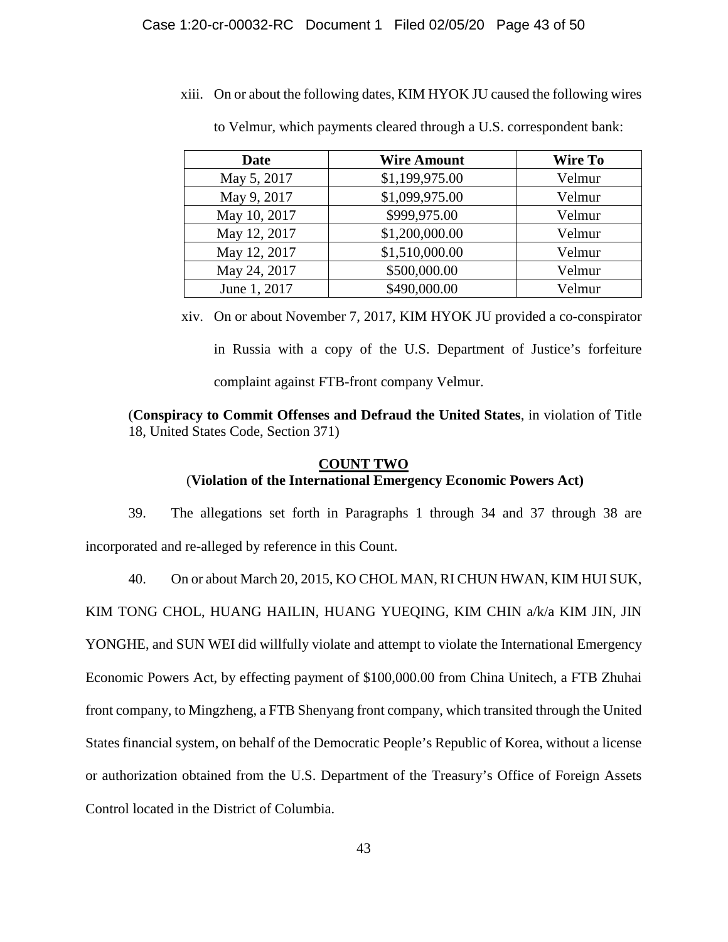xiii. On or about the following dates, KIM HYOK JU caused the following wires

| <b>Date</b>  | <b>Wire Amount</b> | <b>Wire To</b> |
|--------------|--------------------|----------------|
| May 5, 2017  | \$1,199,975.00     | Velmur         |
| May 9, 2017  | \$1,099,975.00     | Velmur         |
| May 10, 2017 | \$999,975.00       | Velmur         |
| May 12, 2017 | \$1,200,000.00     | Velmur         |
| May 12, 2017 | \$1,510,000.00     | Velmur         |
| May 24, 2017 | \$500,000.00       | Velmur         |
| June 1, 2017 | \$490,000.00       | Velmur         |

to Velmur, which payments cleared through a U.S. correspondent bank:

xiv. On or about November 7, 2017, KIM HYOK JU provided a co-conspirator in Russia with a copy of the U.S. Department of Justice's forfeiture complaint against FTB-front company Velmur.

(**Conspiracy to Commit Offenses and Defraud the United States**, in violation of Title 18, United States Code, Section 371)

# **COUNT TWO** (**Violation of the International Emergency Economic Powers Act)**

39. The allegations set forth in Paragraphs 1 through 34 and 37 through 38 are incorporated and re-alleged by reference in this Count.

40. On or about March 20, 2015, KO CHOL MAN, RI CHUN HWAN, KIM HUI SUK,

KIM TONG CHOL, HUANG HAILIN, HUANG YUEQING, KIM CHIN a/k/a KIM JIN, JIN

YONGHE, and SUN WEI did willfully violate and attempt to violate the International Emergency

Economic Powers Act, by effecting payment of \$100,000.00 from China Unitech, a FTB Zhuhai

front company, to Mingzheng, a FTB Shenyang front company, which transited through the United

States financial system, on behalf of the Democratic People's Republic of Korea, without a license

or authorization obtained from the U.S. Department of the Treasury's Office of Foreign Assets

Control located in the District of Columbia.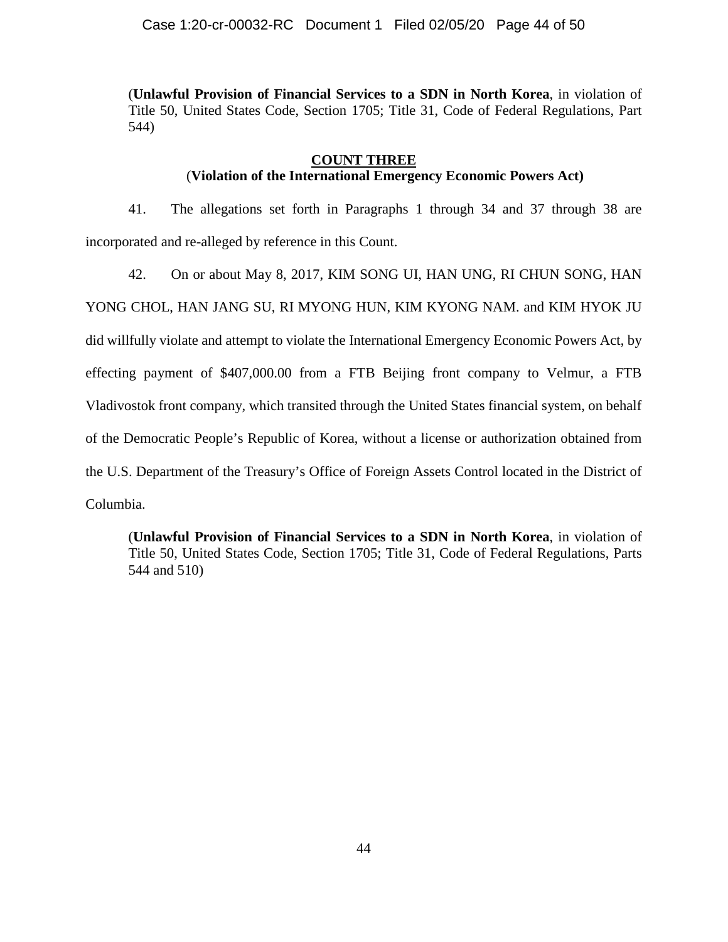(**Unlawful Provision of Financial Services to a SDN in North Korea**, in violation of Title 50, United States Code, Section 1705; Title 31, Code of Federal Regulations, Part 544)

## **COUNT THREE**

# (**Violation of the International Emergency Economic Powers Act)**

41. The allegations set forth in Paragraphs 1 through 34 and 37 through 38 are incorporated and re-alleged by reference in this Count.

42. On or about May 8, 2017, KIM SONG UI, HAN UNG, RI CHUN SONG, HAN YONG CHOL, HAN JANG SU, RI MYONG HUN, KIM KYONG NAM. and KIM HYOK JU did willfully violate and attempt to violate the International Emergency Economic Powers Act, by effecting payment of \$407,000.00 from a FTB Beijing front company to Velmur, a FTB Vladivostok front company, which transited through the United States financial system, on behalf of the Democratic People's Republic of Korea, without a license or authorization obtained from the U.S. Department of the Treasury's Office of Foreign Assets Control located in the District of Columbia.

(**Unlawful Provision of Financial Services to a SDN in North Korea**, in violation of Title 50, United States Code, Section 1705; Title 31, Code of Federal Regulations, Parts 544 and 510)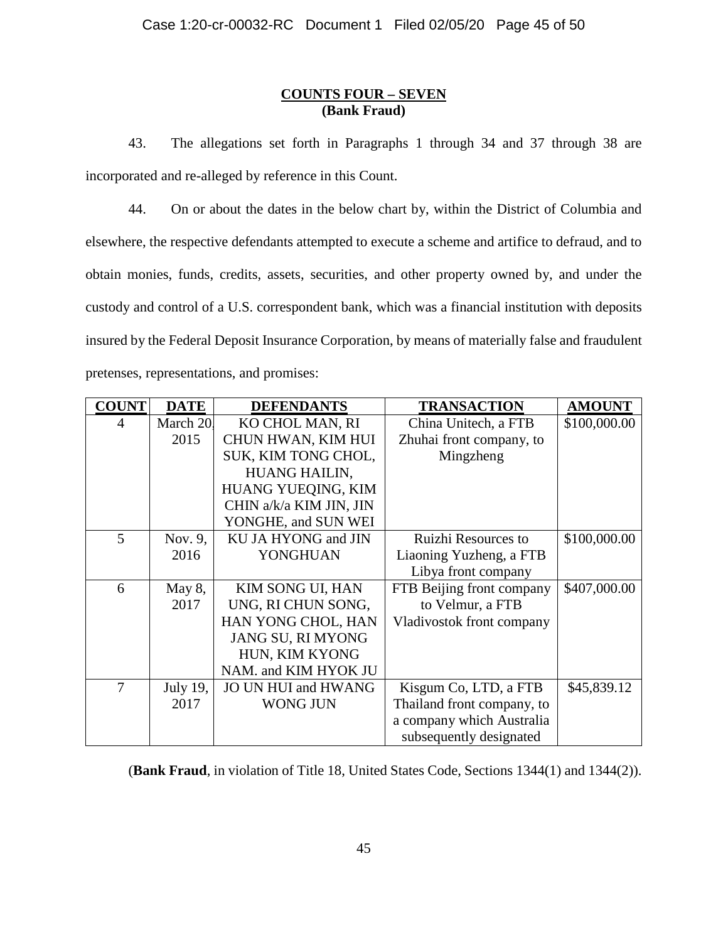## **COUNTS FOUR – SEVEN (Bank Fraud)**

43. The allegations set forth in Paragraphs 1 through 34 and 37 through 38 are incorporated and re-alleged by reference in this Count.

44. On or about the dates in the below chart by, within the District of Columbia and elsewhere, the respective defendants attempted to execute a scheme and artifice to defraud, and to obtain monies, funds, credits, assets, securities, and other property owned by, and under the custody and control of a U.S. correspondent bank, which was a financial institution with deposits insured by the Federal Deposit Insurance Corporation, by means of materially false and fraudulent pretenses, representations, and promises:

| <b>COUNT</b> | <b>DATE</b> | <b>DEFENDANTS</b>          | <b>TRANSACTION</b>         | <b>AMOUNT</b> |
|--------------|-------------|----------------------------|----------------------------|---------------|
| 4            | March 20.   | KO CHOL MAN, RI            | China Unitech, a FTB       | \$100,000.00  |
|              | 2015        | CHUN HWAN, KIM HUI         | Zhuhai front company, to   |               |
|              |             | SUK, KIM TONG CHOL,        | Mingzheng                  |               |
|              |             | HUANG HAILIN,              |                            |               |
|              |             | HUANG YUEQING, KIM         |                            |               |
|              |             | CHIN a/k/a KIM JIN, JIN    |                            |               |
|              |             | YONGHE, and SUN WEI        |                            |               |
| 5            | Nov. 9,     | KU JA HYONG and JIN        | <b>Ruizhi Resources to</b> | \$100,000.00  |
|              | 2016        | YONGHUAN                   | Liaoning Yuzheng, a FTB    |               |
|              |             |                            | Libya front company        |               |
| 6            | May 8,      | KIM SONG UI, HAN           | FTB Beijing front company  | \$407,000.00  |
|              | 2017        | UNG, RI CHUN SONG,         | to Velmur, a FTB           |               |
|              |             | HAN YONG CHOL, HAN         | Vladivostok front company  |               |
|              |             | JANG SU, RI MYONG          |                            |               |
|              |             | HUN, KIM KYONG             |                            |               |
|              |             | NAM. and KIM HYOK JU       |                            |               |
| 7            | July 19,    | <b>JO UN HUI and HWANG</b> | Kisgum Co, LTD, a FTB      | \$45,839.12   |
|              | 2017        | <b>WONG JUN</b>            | Thailand front company, to |               |
|              |             |                            | a company which Australia  |               |
|              |             |                            | subsequently designated    |               |

(**Bank Fraud**, in violation of Title 18, United States Code, Sections 1344(1) and 1344(2)).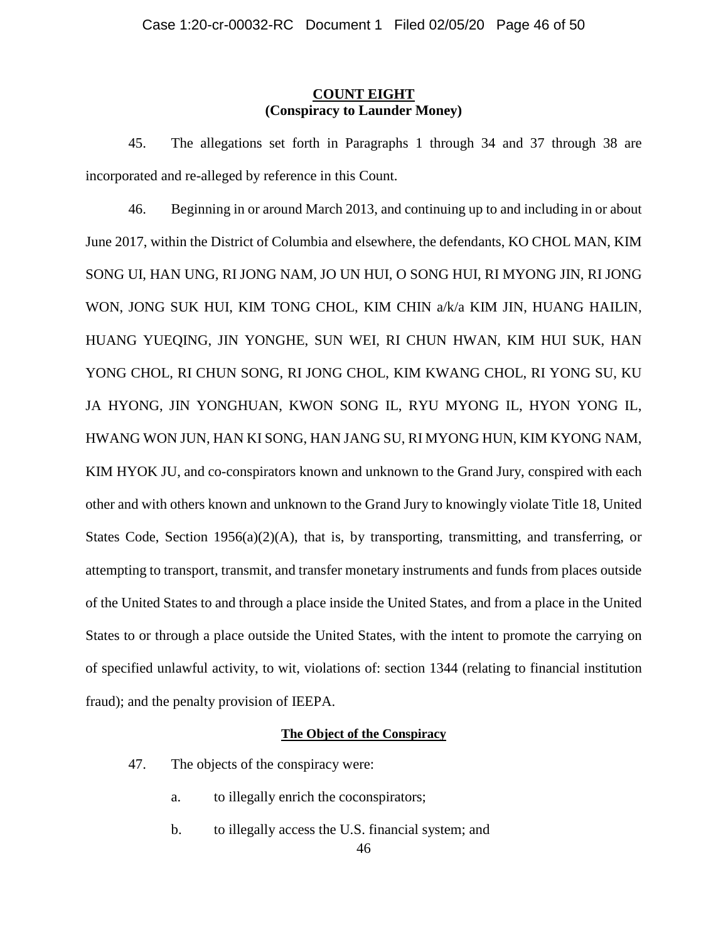## **COUNT EIGHT (Conspiracy to Launder Money)**

45. The allegations set forth in Paragraphs 1 through 34 and 37 through 38 are incorporated and re-alleged by reference in this Count.

46. Beginning in or around March 2013, and continuing up to and including in or about June 2017, within the District of Columbia and elsewhere, the defendants, KO CHOL MAN, KIM SONG UI, HAN UNG, RI JONG NAM, JO UN HUI, O SONG HUI, RI MYONG JIN, RI JONG WON, JONG SUK HUI, KIM TONG CHOL, KIM CHIN a/k/a KIM JIN, HUANG HAILIN, HUANG YUEQING, JIN YONGHE, SUN WEI, RI CHUN HWAN, KIM HUI SUK, HAN YONG CHOL, RI CHUN SONG, RI JONG CHOL, KIM KWANG CHOL, RI YONG SU, KU JA HYONG, JIN YONGHUAN, KWON SONG IL, RYU MYONG IL, HYON YONG IL, HWANG WON JUN, HAN KI SONG, HAN JANG SU, RI MYONG HUN, KIM KYONG NAM, KIM HYOK JU, and co-conspirators known and unknown to the Grand Jury, conspired with each other and with others known and unknown to the Grand Jury to knowingly violate Title 18, United States Code, Section  $1956(a)(2)(A)$ , that is, by transporting, transmitting, and transferring, or attempting to transport, transmit, and transfer monetary instruments and funds from places outside of the United States to and through a place inside the United States, and from a place in the United States to or through a place outside the United States, with the intent to promote the carrying on of specified unlawful activity, to wit, violations of: section 1344 (relating to financial institution fraud); and the penalty provision of IEEPA.

## **The Object of the Conspiracy**

- 47. The objects of the conspiracy were:
	- a. to illegally enrich the coconspirators;
	- b. to illegally access the U.S. financial system; and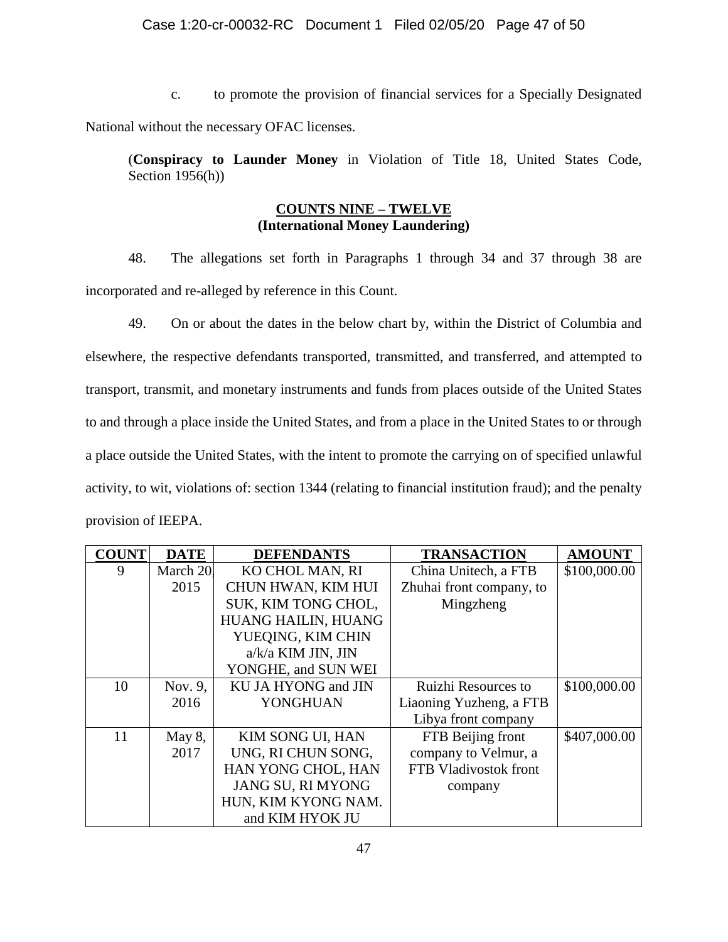## Case 1:20-cr-00032-RC Document 1 Filed 02/05/20 Page 47 of 50

c. to promote the provision of financial services for a Specially Designated National without the necessary OFAC licenses.

(**Conspiracy to Launder Money** in Violation of Title 18, United States Code, Section 1956(h))

## **COUNTS NINE – TWELVE (International Money Laundering)**

48. The allegations set forth in Paragraphs 1 through 34 and 37 through 38 are incorporated and re-alleged by reference in this Count.

49. On or about the dates in the below chart by, within the District of Columbia and elsewhere, the respective defendants transported, transmitted, and transferred, and attempted to transport, transmit, and monetary instruments and funds from places outside of the United States to and through a place inside the United States, and from a place in the United States to or through a place outside the United States, with the intent to promote the carrying on of specified unlawful activity, to wit, violations of: section 1344 (relating to financial institution fraud); and the penalty provision of IEEPA.

| <b>COUNT</b> | <b>DATE</b> | <b>DEFENDANTS</b>       | <b>TRANSACTION</b>       | <b>AMOUNT</b> |
|--------------|-------------|-------------------------|--------------------------|---------------|
| 9            | March 20.   | KO CHOL MAN, RI         | China Unitech, a FTB     | \$100,000.00  |
|              | 2015        | CHUN HWAN, KIM HUI      | Zhuhai front company, to |               |
|              |             | SUK, KIM TONG CHOL,     | Mingzheng                |               |
|              |             | HUANG HAILIN, HUANG     |                          |               |
|              |             | YUEQING, KIM CHIN       |                          |               |
|              |             | a/k/a KIM JIN, JIN      |                          |               |
|              |             | YONGHE, and SUN WEI     |                          |               |
| 10           | Nov. 9,     | KU JA HYONG and JIN     | Ruizhi Resources to      | \$100,000.00  |
|              | 2016        | <b>YONGHUAN</b>         | Liaoning Yuzheng, a FTB  |               |
|              |             |                         | Libya front company      |               |
| 11           | May 8,      | <b>KIM SONG UI, HAN</b> | FTB Beijing front        | \$407,000.00  |
|              | 2017        | UNG, RI CHUN SONG,      | company to Velmur, a     |               |
|              |             | HAN YONG CHOL, HAN      | FTB Vladivostok front    |               |
|              |             | JANG SU, RI MYONG       | company                  |               |
|              |             | HUN, KIM KYONG NAM.     |                          |               |
|              |             | and KIM HYOK JU         |                          |               |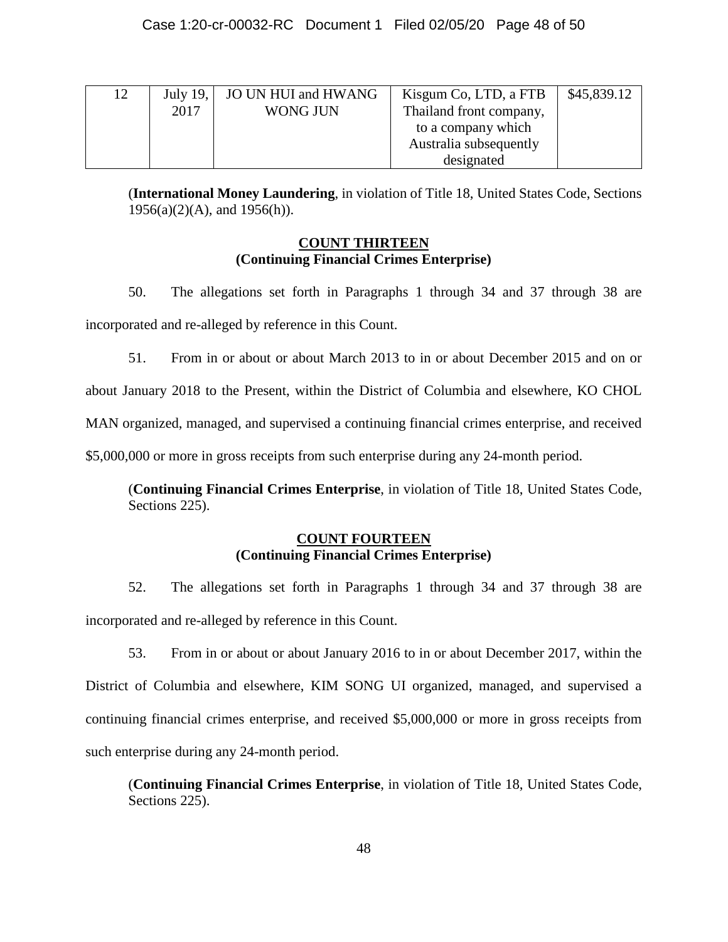| 12 | July 19, $\vert$ | JO UN HUI and HWANG | Kisgum Co, LTD, a FTB   | \$45,839.12 |
|----|------------------|---------------------|-------------------------|-------------|
|    | 2017             | <b>WONG JUN</b>     | Thailand front company, |             |
|    |                  |                     | to a company which      |             |
|    |                  |                     | Australia subsequently  |             |
|    |                  |                     | designated              |             |

(**International Money Laundering**, in violation of Title 18, United States Code, Sections 1956(a)(2)(A), and 1956(h)).

## **COUNT THIRTEEN (Continuing Financial Crimes Enterprise)**

50. The allegations set forth in Paragraphs 1 through 34 and 37 through 38 are incorporated and re-alleged by reference in this Count.

51. From in or about or about March 2013 to in or about December 2015 and on or about January 2018 to the Present, within the District of Columbia and elsewhere, KO CHOL MAN organized, managed, and supervised a continuing financial crimes enterprise, and received \$5,000,000 or more in gross receipts from such enterprise during any 24-month period.

(**Continuing Financial Crimes Enterprise**, in violation of Title 18, United States Code, Sections 225).

## **COUNT FOURTEEN (Continuing Financial Crimes Enterprise)**

52. The allegations set forth in Paragraphs 1 through 34 and 37 through 38 are incorporated and re-alleged by reference in this Count.

53. From in or about or about January 2016 to in or about December 2017, within the District of Columbia and elsewhere, KIM SONG UI organized, managed, and supervised a continuing financial crimes enterprise, and received \$5,000,000 or more in gross receipts from such enterprise during any 24-month period.

(**Continuing Financial Crimes Enterprise**, in violation of Title 18, United States Code, Sections 225).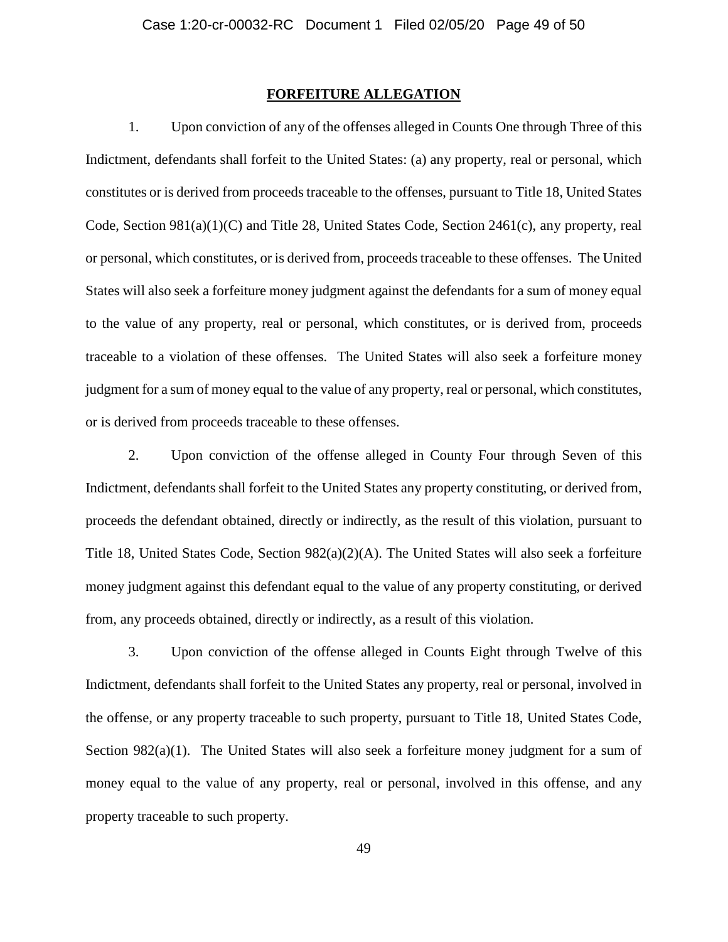## **FORFEITURE ALLEGATION**

1. Upon conviction of any of the offenses alleged in Counts One through Three of this Indictment, defendants shall forfeit to the United States: (a) any property, real or personal, which constitutes or is derived from proceeds traceable to the offenses, pursuant to Title 18, United States Code, Section 981(a)(1)(C) and Title 28, United States Code, Section 2461(c), any property, real or personal, which constitutes, or is derived from, proceeds traceable to these offenses. The United States will also seek a forfeiture money judgment against the defendants for a sum of money equal to the value of any property, real or personal, which constitutes, or is derived from, proceeds traceable to a violation of these offenses. The United States will also seek a forfeiture money judgment for a sum of money equal to the value of any property, real or personal, which constitutes, or is derived from proceeds traceable to these offenses.

2. Upon conviction of the offense alleged in County Four through Seven of this Indictment, defendants shall forfeit to the United States any property constituting, or derived from, proceeds the defendant obtained, directly or indirectly, as the result of this violation, pursuant to Title 18, United States Code, Section  $982(a)(2)(A)$ . The United States will also seek a forfeiture money judgment against this defendant equal to the value of any property constituting, or derived from, any proceeds obtained, directly or indirectly, as a result of this violation.

3. Upon conviction of the offense alleged in Counts Eight through Twelve of this Indictment, defendants shall forfeit to the United States any property, real or personal, involved in the offense, or any property traceable to such property, pursuant to Title 18, United States Code, Section 982(a)(1). The United States will also seek a forfeiture money judgment for a sum of money equal to the value of any property, real or personal, involved in this offense, and any property traceable to such property.